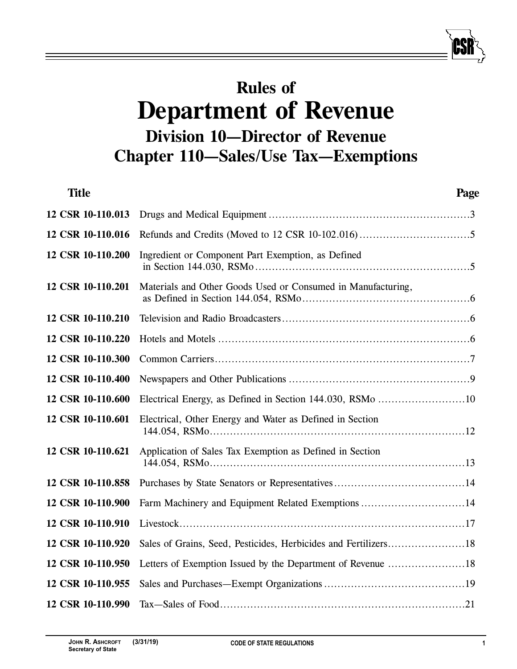# **Rules of Department of Revenue Division 10—Director of Revenue Chapter 110—Sales/Use Tax—Exemptions**

| <b>Title</b>      | Page                                                         |  |
|-------------------|--------------------------------------------------------------|--|
| 12 CSR 10-110.013 |                                                              |  |
| 12 CSR 10-110.016 |                                                              |  |
| 12 CSR 10-110.200 | Ingredient or Component Part Exemption, as Defined           |  |
| 12 CSR 10-110.201 | Materials and Other Goods Used or Consumed in Manufacturing, |  |
| 12 CSR 10-110.210 |                                                              |  |
| 12 CSR 10-110.220 |                                                              |  |
| 12 CSR 10-110.300 |                                                              |  |
| 12 CSR 10-110.400 |                                                              |  |
| 12 CSR 10-110.600 |                                                              |  |
| 12 CSR 10-110.601 | Electrical, Other Energy and Water as Defined in Section     |  |
| 12 CSR 10-110.621 | Application of Sales Tax Exemption as Defined in Section     |  |
| 12 CSR 10-110.858 |                                                              |  |
| 12 CSR 10-110.900 | Farm Machinery and Equipment Related Exemptions 14           |  |
| 12 CSR 10-110.910 |                                                              |  |
| 12 CSR 10-110.920 |                                                              |  |
| 12 CSR 10-110.950 |                                                              |  |
| 12 CSR 10-110.955 |                                                              |  |
| 12 CSR 10-110.990 |                                                              |  |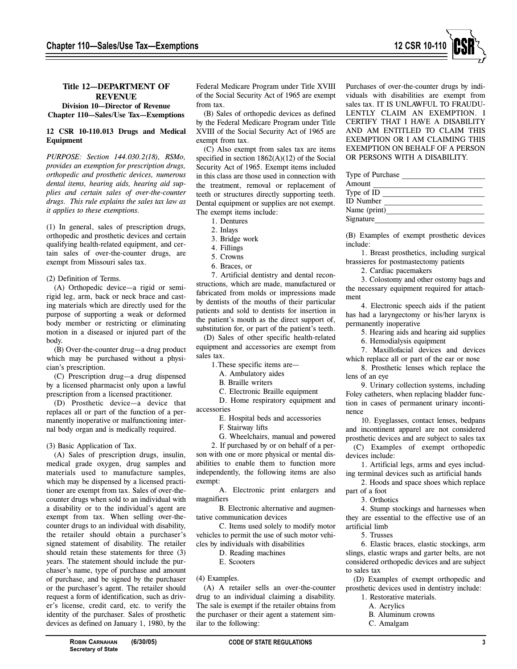

## **Title 12—DEPARTMENT OF REVENUE**

## **Division 10—Director of Revenue Chapter 110—Sales/Use Tax—Exemptions**

# **12 CSR 10-110.013 Drugs and Medical Equipment**

*PURPOSE: Section 144.030.2(18), RSMo, provides an exemption for prescription drugs, orthopedic and prosthetic devices, numerous dental items, hearing aids, hearing aid supplies and certain sales of over-the-counter drugs. This rule explains the sales tax law as it applies to these exemptions.*

(1) In general, sales of prescription drugs, orthopedic and prosthetic devices and certain qualifying health-related equipment, and certain sales of over-the-counter drugs, are exempt from Missouri sales tax.

(2) Definition of Terms.

(A) Orthopedic device—a rigid or semirigid leg, arm, back or neck brace and casting materials which are directly used for the purpose of supporting a weak or deformed body member or restricting or eliminating motion in a diseased or injured part of the body.

(B) Over-the-counter drug—a drug product which may be purchased without a physician's prescription.

(C) Prescription drug—a drug dispensed by a licensed pharmacist only upon a lawful prescription from a licensed practitioner.

(D) Prosthetic device—a device that replaces all or part of the function of a permanently inoperative or malfunctioning internal body organ and is medically required.

## (3) Basic Application of Tax.

(A) Sales of prescription drugs, insulin, medical grade oxygen, drug samples and materials used to manufacture samples, which may be dispensed by a licensed practitioner are exempt from tax. Sales of over-thecounter drugs when sold to an individual with a disability or to the individual's agent are exempt from tax. When selling over-thecounter drugs to an individual with disability, the retailer should obtain a purchaser's signed statement of disability. The retailer should retain these statements for three (3) years. The statement should include the purchaser's name, type of purchase and amount of purchase, and be signed by the purchaser or the purchaser's agent. The retailer should request a form of identification, such as driver's license, credit card, etc. to verify the identity of the purchaser. Sales of prosthetic devices as defined on January 1, 1980, by the Federal Medicare Program under Title XVIII of the Social Security Act of 1965 are exempt from tax.

(B) Sales of orthopedic devices as defined by the Federal Medicare Program under Title XVIII of the Social Security Act of 1965 are exempt from tax.

(C) Also exempt from sales tax are items specified in section  $1862(A)(12)$  of the Social Security Act of 1965. Exempt items included in this class are those used in connection with the treatment, removal or replacement of teeth or structures directly supporting teeth. Dental equipment or supplies are not exempt. The exempt items include:

1. Dentures

2. Inlays

- 3. Bridge work
- 4. Fillings
- 5. Crowns
- 6. Braces, or

7. Artificial dentistry and dental reconstructions, which are made, manufactured or fabricated from molds or impressions made by dentists of the mouths of their particular patients and sold to dentists for insertion in the patient's mouth as the direct support of, substitution for, or part of the patient's teeth.

(D) Sales of other specific health-related equipment and accessories are exempt from sales tax.

1.These specific items are—

A. Ambulatory aides

B. Braille writers

C. Electronic Braille equipment

D. Home respiratory equipment and accessories

E. Hospital beds and accessories

F. Stairway lifts

G. Wheelchairs, manual and powered

2. If purchased by or on behalf of a person with one or more physical or mental disabilities to enable them to function more independently, the following items are also exempt:

A. Electronic print enlargers and magnifiers

B. Electronic alternative and augmentative communication devices

C. Items used solely to modify motor vehicles to permit the use of such motor vehicles by individuals with disabilities

D. Reading machines

E. Scooters

(4) Examples.

(A) A retailer sells an over-the-counter drug to an individual claiming a disability. The sale is exempt if the retailer obtains from the purchaser or their agent a statement similar to the following:

Purchases of over-the-counter drugs by individuals with disabilities are exempt from sales tax. IT IS UNLAWFUL TO FRAUDU-LENTLY CLAIM AN EXEMPTION. I CERTIFY THAT I HAVE A DISABILITY AND AM ENTITLED TO CLAIM THIS EXEMPTION OR I AM CLAIMING THIS EXEMPTION ON BEHALF OF A PERSON OR PERSONS WITH A DISABILITY.

| Type of Purchase |  |
|------------------|--|
| Amount           |  |
| Type of ID       |  |
| <b>ID</b> Number |  |
| Name (print)     |  |
| Signature        |  |
|                  |  |

(B) Examples of exempt prosthetic devices include:

1. Breast prosthetics, including surgical brassieres for postmastectomy patients

2. Cardiac pacemakers

3. Colostomy and other ostomy bags and the necessary equipment required for attachment

4. Electronic speech aids if the patient has had a laryngectomy or his/her larynx is permanently inoperative

5. Hearing aids and hearing aid supplies

6. Hemodialysis equipment

7. Maxillofacial devices and devices which replace all or part of the ear or nose

8. Prosthetic lenses which replace the lens of an eye

9. Urinary collection systems, including Foley catheters, when replacing bladder function in cases of permanent urinary incontinence

10. Eyeglasses, contact lenses, bedpans and incontinent apparel are not considered prosthetic devices and are subject to sales tax

(C) Examples of exempt orthopedic devices include:

1. Artificial legs, arms and eyes including terminal devices such as artificial hands

2. Hoods and space shoes which replace part of a foot

3. Orthotics

4. Stump stockings and harnesses when they are essential to the effective use of an artificial limb

5. Trusses

6. Elastic braces, elastic stockings, arm slings, elastic wraps and garter belts, are not considered orthopedic devices and are subject to sales tax

(D) Examples of exempt orthopedic and prosthetic devices used in dentistry include:

- 1. Restorative materials.
	- A. Acrylics
	- B. Aluminum crowns
	- C. Amalgam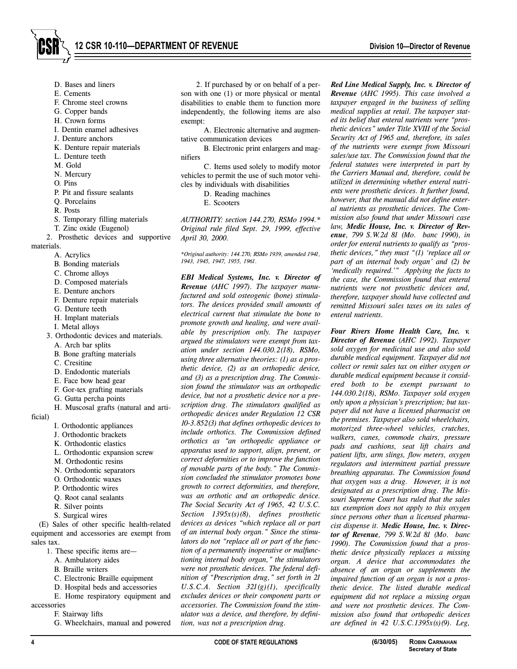- D. Bases and liners
- E. Cements
- F. Chrome steel crowns
- G. Copper bands
- H. Crown forms
- I. Dentin enamel adhesives
- J. Denture anchors
- K. Denture repair materials
- L. Denture teeth
- M. Gold
- N. Mercury
- O. Pins
- P. Pit and fissure sealants
- Q. Porcelains
- R. Posts
- S. Temporary filling materials
- T. Zinc oxide (Eugenol)
- 2. Prosthetic devices and supportive

materials.

- A. Acrylics
- B. Bonding materials
- C. Chrome alloys
- D. Composed materials
- E. Denture anchors
- F. Denture repair materials
- G. Denture teeth
- H. Implant materials
- I. Metal alloys
- 3. Orthodontic devices and materials.
	- A. Arch bar splits
	- B. Bone grafting materials
	- C. Cresitine
	- D. Endodontic materials
	- E. Face bow head gear
	- F. Gor-tex grafting materials
	- G. Gutta percha points
- H. Muscosal grafts (natural and arti-

ficial)

- I. Orthodontic appliances
- J. Orthodontic brackets
- K. Orthodontic elastics
- L. Orthodontic expansion screw
- M. Orthodontic resins
- N. Orthodontic separators
- O. Orthodontic waxes
- P. Orthodontic wires
- Q. Root canal sealants
- R. Silver points
- S. Surgical wires

(E) Sales of other specific health-related equipment and accessories are exempt from sales tax.

- 1. These specific items are—
	- A. Ambulatory aides
	- B. Braille writers
	- C. Electronic Braille equipment
	- D. Hospital beds and accessories
	- E. Home respiratory equipment and

accessories F. Stairway lifts

G. Wheelchairs, manual and powered

2. If purchased by or on behalf of a person with one (1) or more physical or mental disabilities to enable them to function more independently, the following items are also exempt:

A. Electronic alternative and augmentative communication devices

B. Electronic print enlargers and magnifiers

C. Items used solely to modify motor vehicles to permit the use of such motor vehicles by individuals with disabilities

- D. Reading machines
	- E. Scooters

*AUTHORITY: section 144.270, RSMo 1994.\* Original rule filed Sept. 29, 1999, effective April 30, 2000.*

*\*Original authority: 144.270, RSMo 1939, amended 1941, 1943, 1945, 1947, 1955, 1961.*

*EBI Medical Systems, Inc. v. Director of Revenue (AHC 1997). The taxpayer manufactured and sold osteogenic (bone) stimulators. The devices provided small amounts of electrical current that stimulate the bone to promote growth and healing, and were available by prescription only. The taxpayer argued the stimulators were exempt from taxation under section 144.030.2(18), RSMo, using three alternative theories: (1) as a prosthetic device, (2) as an orthopedic device, and (3) as a prescription drug. The Commission found the stimulator was an orthopedic device, but not a prosthetic device nor a prescription drug. The stimulators qualified as orthopedic devices under Regulation 12 CSR 10-3.852(3) that defines orthopedic devices to include orthotics. The Commission defined orthotics as "an orthopedic appliance or apparatus used to support, align, prevent, or correct deformities or to improve the function of movable parts of the body." The Commission concluded the stimulator promotes bone growth to correct deformities, and therefore, was an orthotic and an orthopedic device. The Social Security Act of 1965, 42 U.S.C. Section 1395x(s)(8), defines prosthetic devices as devices "which replace all or part of an internal body organ." Since the stimulators do not "replace all or part of the function of a permanently inoperative or malfunctioning internal body organ," the stimulators were not prosthetic devices. The federal definition of "Prescription drug," set forth in 21 U.S.C.A. Section 321(g)(1), specifically excludes devices or their component parts or accessories. The Commission found the stimulator was a device, and therefore, by definition, was not a prescription drug.*

*Red Line Medical Supply, Inc. v. Director of Revenue (AHC 1995). This case involved a taxpayer engaged in the business of selling medical supplies at retail. The taxpayer stated its belief that enteral nutrients were "prosthetic devices" under Title XVIII of the Social Security Act of 1965 and, therefore, its sales of the nutrients were exempt from Missouri sales/use tax. The Commission found that the federal statutes were interpreted in part by the Carriers Manual and, therefore, could be utilized in determining whether enteral nutrients were prosthetic devices. It further found, however, that the manual did not define enteral nutrients as prosthetic devices. The Commission also found that under Missouri case law, Medic House, Inc. v. Director of Revenue, 799 S.W.2d 81 (Mo. banc 1990), in order for enteral nutrients to qualify as "prosthetic devices," they must "(1) 'replace all or part of an internal body organ' and (2) be 'medically required.'" Applying the facts to the case, the Commission found that enteral nutrients were not prosthetic devices and, therefore, taxpayer should have collected and remitted Missouri sales taxes on its sales of enteral nutrients.*

*Four Rivers Home Health Care, Inc. v. Director of Revenue (AHC 1992). Taxpayer sold oxygen for medicinal use and also sold durable medical equipment. Taxpayer did not collect or remit sales tax on either oxygen or durable medical equipment because it considered both to be exempt pursuant to 144.030.2(18), RSMo. Taxpayer sold oxygen only upon a physician's prescription; but taxpayer did not have a licensed pharmacist on the premises. Taxpayer also sold wheelchairs, motorized three-wheel vehicles, crutches, walkers, canes, commode chairs, pressure pads and cushions, seat lift chairs and patient lifts, arm slings, flow meters, oxygen regulators and intermittent partial pressure breathing apparatus. The Commission found that oxygen was a drug. However, it is not designated as a prescription drug. The Missouri Supreme Court has ruled that the sales tax exemption does not apply to this oxygen since persons other than a licensed pharmacist dispense it. Medic House, Inc. v. Director of Revenue, 799 S.W.2d 81 (Mo. banc 1990). The Commission found that a prosthetic device physically replaces a missing organ. A device that accommodates the absence of an organ or supplements the impaired function of an organ is not a prosthetic device. The listed durable medical equipment did not replace a missing organ and were not prosthetic devices. The Commission also found that orthopedic devices are defined in 42 U.S.C.1395x(s)(9). Leg,*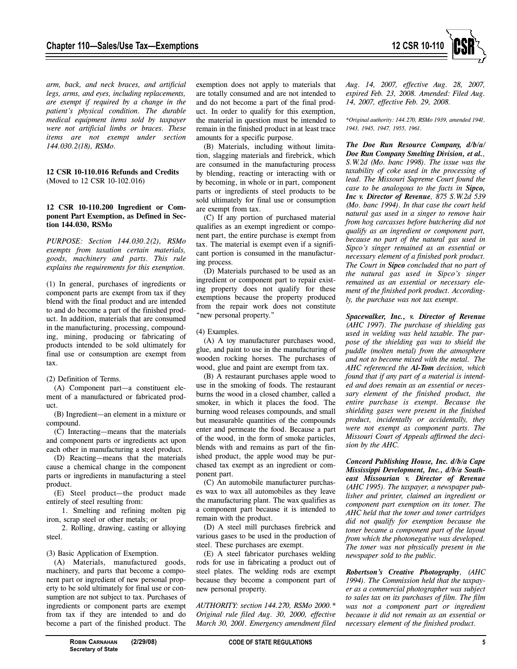

*arm, back, and neck braces, and artificial legs, arms, and eyes, including replacements, are exempt if required by a change in the patient's physical condition. The durable medical equipment items sold by taxpayer were not artificial limbs or braces. These items are not exempt under section 144.030.2(18), RSMo.*

**12 CSR 10-110.016 Refunds and Credits** (Moved to 12 CSR 10-102.016)

## **12 CSR 10-110.200 Ingredient or Component Part Exemption, as Defined in Section 144.030, RSMo**

*PURPOSE: Section 144.030.2(2), RSMo exempts from taxation certain materials, goods, machinery and parts. This rule explains the requirements for this exemption.*

(1) In general, purchases of ingredients or component parts are exempt from tax if they blend with the final product and are intended to and do become a part of the finished product. In addition, materials that are consumed in the manufacturing, processing, compounding, mining, producing or fabricating of products intended to be sold ultimately for final use or consumption are exempt from tax.

#### (2) Definition of Terms.

(A) Component part—a constituent element of a manufactured or fabricated product.

(B) Ingredient—an element in a mixture or compound.

(C) Interacting—means that the materials and component parts or ingredients act upon each other in manufacturing a steel product.

(D) Reacting—means that the materials cause a chemical change in the component parts or ingredients in manufacturing a steel product.

(E) Steel product—the product made entirely of steel resulting from:

1. Smelting and refining molten pig iron, scrap steel or other metals; or

2. Rolling, drawing, casting or alloying steel.

(3) Basic Application of Exemption.

(A) Materials, manufactured goods, machinery, and parts that become a component part or ingredient of new personal property to be sold ultimately for final use or consumption are not subject to tax. Purchases of ingredients or component parts are exempt from tax if they are intended to and do become a part of the finished product. The exemption does not apply to materials that are totally consumed and are not intended to and do not become a part of the final product. In order to qualify for this exemption, the material in question must be intended to remain in the finished product in at least trace amounts for a specific purpose.

(B) Materials, including without limitation, slagging materials and firebrick, which are consumed in the manufacturing process by blending, reacting or interacting with or by becoming, in whole or in part, component parts or ingredients of steel products to be sold ultimately for final use or consumption are exempt from tax.

(C) If any portion of purchased material qualifies as an exempt ingredient or component part, the entire purchase is exempt from tax. The material is exempt even if a significant portion is consumed in the manufacturing process.

(D) Materials purchased to be used as an ingredient or component part to repair existing property does not qualify for these exemptions because the property produced from the repair work does not constitute "new personal property."

#### (4) Examples.

(A) A toy manufacturer purchases wood, glue, and paint to use in the manufacturing of wooden rocking horses. The purchases of wood, glue and paint are exempt from tax.

(B) A restaurant purchases apple wood to use in the smoking of foods. The restaurant burns the wood in a closed chamber, called a smoker, in which it places the food. The burning wood releases compounds, and small but measurable quantities of the compounds enter and permeate the food. Because a part of the wood, in the form of smoke particles, blends with and remains as part of the finished product, the apple wood may be purchased tax exempt as an ingredient or component part.

(C) An automobile manufacturer purchases wax to wax all automobiles as they leave the manufacturing plant. The wax qualifies as a component part because it is intended to remain with the product.

(D) A steel mill purchases firebrick and various gases to be used in the production of steel. These purchases are exempt.

(E) A steel fabricator purchases welding rods for use in fabricating a product out of steel plates. The welding rods are exempt because they become a component part of new personal property.

*AUTHORITY: section 144.270, RSMo 2000.\* Original rule filed Aug. 30, 2000, effective March 30, 2001. Emergency amendment filed* *Aug. 14, 2007, effective Aug. 28, 2007, expired Feb. 23, 2008. Amended: Filed Aug. 14, 2007, effective Feb. 29, 2008.*

*\*Original authority: 144.270, RSMo 1939, amended 1941, 1943, 1945, 1947, 1955, 1961.*

*The Doe Run Resource Company, d/b/a/ Doe Run Company Smelting Division, et al., S.W.2d (Mo. banc 1998). The issue was the taxability of coke used in the processing of lead. The Missouri Supreme Court found the case to be analogous to the facts in Sipco, Inc v. Director of Revenue, 875 S.W.2d 539 (Mo. banc 1994). In that case the court held natural gas used in a singer to remove hair from hog carcasses before butchering did not qualify as an ingredient or component part, because no part of the natural gas used in Sipco's singer remained as an essential or necessary element of a finished pork product. The Court in Sipco concluded that no part of the natural gas used in Sipco's singer remained as an essential or necessary element of the finished pork product. Accordingly, the purchase was not tax exempt.*

*Spacewalker, Inc., v. Director of Revenue (AHC 1997). The purchase of shielding gas used in welding was held taxable. The purpose of the shielding gas was to shield the puddle (molten metal) from the atmosphere and not to become mixed with the metal. The AHC referenced the Al-Tom decision, which found that if any part of a material is intended and does remain as an essential or necessary element of the finished product, the entire purchase is exempt. Because the shielding gases were present in the finished product, incidentally or accidentally, they were not exempt as component parts. The Missouri Court of Appeals affirmed the decision by the AHC.*

*Concord Publishing House, Inc. d/b/a Cape Mississippi Development, Inc., d/b/a Southeast Missourian v. Director of Revenue (AHC 1995). The taxpayer, a newspaper publisher and printer, claimed an ingredient or component part exemption on its toner. The AHC held that the toner and toner cartridges did not qualify for exemption because the toner became a component part of the layout from which the photonegative was developed. The toner was not physically present in the newspaper sold to the public.*

*Robertson's Creative Photography, (AHC 1994). The Commission held that the taxpayer as a commercial photographer was subject to sales tax on its purchases of film. The film was not a component part or ingredient because it did not remain as an essential or necessary element of the finished product.*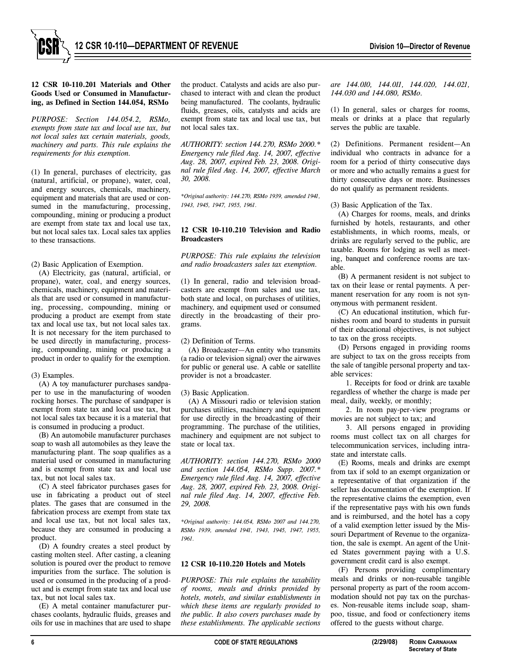

## **12 CSR 10-110.201 Materials and Other Goods Used or Consumed in Manufacturing, as Defined in Section 144.054, RSMo**

*PURPOSE: Section 144.054.2, RSMo, exempts from state tax and local use tax, but not local sales tax certain materials, goods, machinery and parts. This rule explains the requirements for this exemption.*

(1) In general, purchases of electricity, gas (natural, artificial, or propane), water, coal, and energy sources, chemicals, machinery, equipment and materials that are used or consumed in the manufacturing, processing, compounding, mining or producing a product are exempt from state tax and local use tax, but not local sales tax. Local sales tax applies to these transactions.

## (2) Basic Application of Exemption.

(A) Electricity, gas (natural, artificial, or propane), water, coal, and energy sources, chemicals, machinery, equipment and materials that are used or consumed in manufacturing, processing, compounding, mining or producing a product are exempt from state tax and local use tax, but not local sales tax. It is not necessary for the item purchased to be used directly in manufacturing, processing, compounding, mining or producing a product in order to qualify for the exemption.

# (3) Examples.

(A) A toy manufacturer purchases sandpaper to use in the manufacturing of wooden rocking horses. The purchase of sandpaper is exempt from state tax and local use tax, but not local sales tax because it is a material that is consumed in producing a product.

(B) An automobile manufacturer purchases soap to wash all automobiles as they leave the manufacturing plant. The soap qualifies as a material used or consumed in manufacturing and is exempt from state tax and local use tax, but not local sales tax.

(C) A steel fabricator purchases gases for use in fabricating a product out of steel plates. The gases that are consumed in the fabrication process are exempt from state tax and local use tax, but not local sales tax, because they are consumed in producing a product.

(D) A foundry creates a steel product by casting molten steel. After casting, a cleaning solution is poured over the product to remove impurities from the surface. The solution is used or consumed in the producing of a product and is exempt from state tax and local use tax, but not local sales tax.

(E) A metal container manufacturer purchases coolants, hydraulic fluids, greases and oils for use in machines that are used to shape the product. Catalysts and acids are also purchased to interact with and clean the product being manufactured. The coolants, hydraulic fluids, greases, oils, catalysts and acids are exempt from state tax and local use tax, but not local sales tax.

*AUTHORITY: section 144.270, RSMo 2000.\* Emergency rule filed Aug. 14, 2007, effective Aug. 28, 2007, expired Feb. 23, 2008. Original rule filed Aug. 14, 2007, effective March 30, 2008.* 

*\*Original authority: 144.270, RSMo 1939, amended 1941, 1943, 1945, 1947, 1955, 1961.*

## **12 CSR 10-110.210 Television and Radio Broadcasters**

*PURPOSE: This rule explains the television and radio broadcasters sales tax exemption.*

(1) In general, radio and television broadcasters are exempt from sales and use tax, both state and local, on purchases of utilities, machinery, and equipment used or consumed directly in the broadcasting of their programs.

(2) Definition of Terms.

(A) Broadcaster—An entity who transmits (a radio or television signal) over the airwaves for public or general use. A cable or satellite provider is not a broadcaster.

(3) Basic Application.

(A) A Missouri radio or television station purchases utilities, machinery and equipment for use directly in the broadcasting of their programming. The purchase of the utilities, machinery and equipment are not subject to state or local tax.

*AUTHORITY: section 144.270, RSMo 2000 and section 144.054, RSMo Supp. 2007.\* Emergency rule filed Aug. 14, 2007, effective Aug. 28, 2007, expired Feb. 23, 2008. Original rule filed Aug. 14, 2007, effective Feb. 29, 2008.* 

*\*Original authority: 144.054, RSMo 2007 and 144.270, RSMo 1939, amended 1941, 1943, 1945, 1947, 1955, 1961.*

# **12 CSR 10-110.220 Hotels and Motels**

*PURPOSE: This rule explains the taxability of rooms, meals and drinks provided by hotels, motels, and similar establishments in which these items are regularly provided to the public. It also covers purchases made by these establishments. The applicable sections*

*are 144.010, 144.011, 144.020, 144.021, 144.030 and 144.080, RSMo.*

(1) In general, sales or charges for rooms, meals or drinks at a place that regularly serves the public are taxable.

(2) Definitions. Permanent resident—An individual who contracts in advance for a room for a period of thirty consecutive days or more and who actually remains a guest for thirty consecutive days or more. Businesses do not qualify as permanent residents.

(3) Basic Application of the Tax.

(A) Charges for rooms, meals, and drinks furnished by hotels, restaurants, and other establishments, in which rooms, meals, or drinks are regularly served to the public, are taxable. Rooms for lodging as well as meeting, banquet and conference rooms are taxable.

(B) A permanent resident is not subject to tax on their lease or rental payments. A permanent reservation for any room is not synonymous with permanent resident.

(C) An educational institution, which furnishes room and board to students in pursuit of their educational objectives, is not subject to tax on the gross receipts.

(D) Persons engaged in providing rooms are subject to tax on the gross receipts from the sale of tangible personal property and taxable services:

1. Receipts for food or drink are taxable regardless of whether the charge is made per meal, daily, weekly, or monthly;

2. In room pay-per-view programs or movies are not subject to tax; and

3. All persons engaged in providing rooms must collect tax on all charges for telecommunication services, including intrastate and interstate calls.

(E) Rooms, meals and drinks are exempt from tax if sold to an exempt organization or a representative of that organization if the seller has documentation of the exemption. If the representative claims the exemption, even if the representative pays with his own funds and is reimbursed, and the hotel has a copy of a valid exemption letter issued by the Missouri Department of Revenue to the organization, the sale is exempt. An agent of the United States government paying with a U.S. government credit card is also exempt.

(F) Persons providing complimentary meals and drinks or non-reusable tangible personal property as part of the room accommodation should not pay tax on the purchases. Non-reusable items include soap, shampoo, tissue, and food or confectionery items offered to the guests without charge.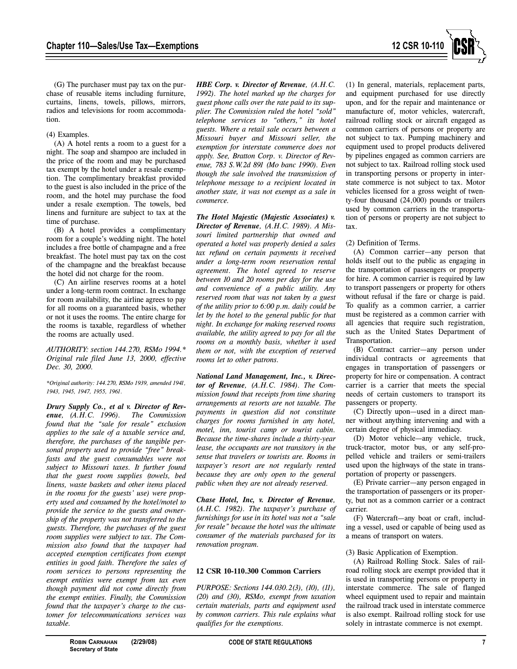

(G) The purchaser must pay tax on the purchase of reusable items including furniture, curtains, linens, towels, pillows, mirrors, radios and televisions for room accommodation.

## (4) Examples.

(A) A hotel rents a room to a guest for a night. The soap and shampoo are included in the price of the room and may be purchased tax exempt by the hotel under a resale exemption. The complimentary breakfast provided to the guest is also included in the price of the room, and the hotel may purchase the food under a resale exemption. The towels, bed linens and furniture are subject to tax at the time of purchase.

(B) A hotel provides a complimentary room for a couple's wedding night. The hotel includes a free bottle of champagne and a free breakfast. The hotel must pay tax on the cost of the champagne and the breakfast because the hotel did not charge for the room.

(C) An airline reserves rooms at a hotel under a long-term room contract. In exchange for room availability, the airline agrees to pay for all rooms on a guaranteed basis, whether or not it uses the rooms. The entire charge for the rooms is taxable, regardless of whether the rooms are actually used.

*AUTHORITY: section 144.270, RSMo 1994.\* Original rule filed June 13, 2000, effective Dec. 30, 2000.*

*\*Original authority: 144.270, RSMo 1939, amended 1941, 1943, 1945, 1947, 1955, 1961.*

*Drury Supply Co., et al v. Director of Revenue*, (*A.H.C. 1996*). *found that the "sale for resale" exclusion applies to the sale of a taxable service and, therefore, the purchases of the tangible personal property used to provide "free" breakfasts and the guest consumables were not subject to Missouri taxes. It further found that the guest room supplies (towels, bed linens, waste baskets and other items placed in the rooms for the guests' use) were property used and consumed by the hotel/motel to provide the service to the guests and ownership of the property was not transferred to the guests. Therefore, the purchases of the guest room supplies were subject to tax. The Commission also found that the taxpayer had accepted exemption certificates from exempt entities in good faith. Therefore the sales of room services to persons representing the exempt entities were exempt from tax even though payment did not come directly from the exempt entities. Finally, the Commission found that the taxpayer's charge to the customer for telecommunications services was taxable.*

*HBE Corp. v. Director of Revenue, (A.H.C. 1992). The hotel marked up the charges for guest phone calls over the rate paid to its supplier. The Commission ruled the hotel "sold" telephone services to "others," its hotel guests. Where a retail sale occurs between a Missouri buyer and Missouri seller, the exemption for interstate commerce does not apply. See, Bratton Corp. v. Director of Revenue, 783 S.W.2d 891 (Mo banc 1990). Even though the sale involved the transmission of telephone message to a recipient located in another state, it was not exempt as a sale in commerce.*

*The Hotel Majestic (Majestic Associates) v. Director of Revenue, (A.H.C. 1989). A Missouri limited partnership that owned and operated a hotel was properly denied a sales tax refund on certain payments it received under a long-term room reservation rental agreement. The hotel agreed to reserve between 10 and 20 rooms per day for the use and convenience of a public utility. Any reserved room that was not taken by a guest of the utility prior to 6:00 p.m. daily could be let by the hotel to the general public for that night. In exchange for making reserved rooms available, the utility agreed to pay for all the rooms on a monthly basis, whether it used them or not, with the exception of reserved rooms let to other patrons.*

*National Land Management, Inc., v. Director of Revenue, (A.H.C. 1984). The Commission found that receipts from time sharing arrangements at resorts are not taxable. The payments in question did not constitute charges for rooms furnished in any hotel, motel, inn, tourist camp or tourist cabin. Because the time-shares include a thirty-year lease, the occupants are not transitory in the sense that travelers or tourists are. Rooms in taxpayer's resort are not regularly rented because they are only open to the general public when they are not already reserved.* 

*Chase Hotel, Inc, v. Director of Revenue, (A.H.C. 1982). The taxpayer's purchase of furnishings for use in its hotel was not a "sale for resale" because the hotel was the ultimate consumer of the materials purchased for its renovation program.*

# **12 CSR 10-110.300 Common Carriers**

*PURPOSE: Sections 144.030.2(3), (10), (11), (20) and (30), RSMo, exempt from taxation certain materials, parts and equipment used by common carriers. This rule explains what qualifies for the exemptions.*

(1) In general, materials, replacement parts, and equipment purchased for use directly upon, and for the repair and maintenance or manufacture of, motor vehicles, watercraft, railroad rolling stock or aircraft engaged as common carriers of persons or property are not subject to tax. Pumping machinery and equipment used to propel products delivered by pipelines engaged as common carriers are not subject to tax. Railroad rolling stock used in transporting persons or property in interstate commerce is not subject to tax. Motor vehicles licensed for a gross weight of twenty-four thousand (24,000) pounds or trailers used by common carriers in the transportation of persons or property are not subject to tax.

## (2) Definition of Terms.

(A) Common carrier—any person that holds itself out to the public as engaging in the transportation of passengers or property for hire. A common carrier is required by law to transport passengers or property for others without refusal if the fare or charge is paid. To qualify as a common carrier, a carrier must be registered as a common carrier with all agencies that require such registration, such as the United States Department of Transportation.

(B) Contract carrier—any person under individual contracts or agreements that engages in transportation of passengers or property for hire or compensation. A contract carrier is a carrier that meets the special needs of certain customers to transport its passengers or property.

(C) Directly upon—used in a direct manner without anything intervening and with a certain degree of physical immediacy.

(D) Motor vehicle—any vehicle, truck, truck-tractor, motor bus, or any self-propelled vehicle and trailers or semi-trailers used upon the highways of the state in transportation of property or passengers.

(E) Private carrier—any person engaged in the transportation of passengers or its property, but not as a common carrier or a contract carrier.

(F) Watercraft—any boat or craft, including a vessel, used or capable of being used as a means of transport on waters.

#### (3) Basic Application of Exemption.

(A) Railroad Rolling Stock. Sales of railroad rolling stock are exempt provided that it is used in transporting persons or property in interstate commerce. The sale of flanged wheel equipment used to repair and maintain the railroad track used in interstate commerce is also exempt. Railroad rolling stock for use solely in intrastate commerce is not exempt.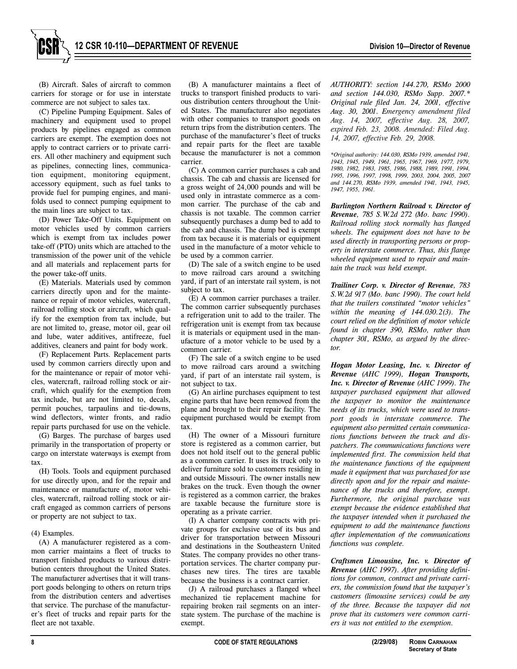(B) Aircraft. Sales of aircraft to common carriers for storage or for use in interstate commerce are not subject to sales tax.

(C) Pipeline Pumping Equipment. Sales of machinery and equipment used to propel products by pipelines engaged as common carriers are exempt. The exemption does not apply to contract carriers or to private carriers. All other machinery and equipment such as pipelines, connecting lines, communication equipment, monitoring equipment, accessory equipment, such as fuel tanks to provide fuel for pumping engines, and manifolds used to connect pumping equipment to the main lines are subject to tax.

(D) Power Take-Off Units. Equipment on motor vehicles used by common carriers which is exempt from tax includes power take-off (PTO) units which are attached to the transmission of the power unit of the vehicle and all materials and replacement parts for the power take-off units.

(E) Materials. Materials used by common carriers directly upon and for the maintenance or repair of motor vehicles, watercraft, railroad rolling stock or aircraft, which qualify for the exemption from tax include, but are not limited to, grease, motor oil, gear oil and lube, water additives, antifreeze, fuel additives, cleaners and paint for body work.

(F) Replacement Parts. Replacement parts used by common carriers directly upon and for the maintenance or repair of motor vehicles, watercraft, railroad rolling stock or aircraft, which qualify for the exemption from tax include, but are not limited to, decals, permit pouches, tarpaulins and tie-downs, wind deflectors, winter fronts, and radio repair parts purchased for use on the vehicle.

(G) Barges. The purchase of barges used primarily in the transportation of property or cargo on interstate waterways is exempt from tax.

(H) Tools. Tools and equipment purchased for use directly upon, and for the repair and maintenance or manufacture of, motor vehicles, watercraft, railroad rolling stock or aircraft engaged as common carriers of persons or property are not subject to tax.

## (4) Examples.

(A) A manufacturer registered as a common carrier maintains a fleet of trucks to transport finished products to various distribution centers throughout the United States. The manufacturer advertises that it will transport goods belonging to others on return trips from the distribution centers and advertises that service. The purchase of the manufacturer's fleet of trucks and repair parts for the fleet are not taxable.

(B) A manufacturer maintains a fleet of trucks to transport finished products to various distribution centers throughout the United States. The manufacturer also negotiates with other companies to transport goods on return trips from the distribution centers. The purchase of the manufacturer's fleet of trucks and repair parts for the fleet are taxable because the manufacturer is not a common carrier.

(C) A common carrier purchases a cab and chassis. The cab and chassis are licensed for a gross weight of 24,000 pounds and will be used only in intrastate commerce as a common carrier. The purchase of the cab and chassis is not taxable. The common carrier subsequently purchases a dump bed to add to the cab and chassis. The dump bed is exempt from tax because it is materials or equipment used in the manufacture of a motor vehicle to be used by a common carrier.

(D) The sale of a switch engine to be used to move railroad cars around a switching yard, if part of an interstate rail system, is not subject to tax.

(E) A common carrier purchases a trailer. The common carrier subsequently purchases a refrigeration unit to add to the trailer. The refrigeration unit is exempt from tax because it is materials or equipment used in the manufacture of a motor vehicle to be used by a common carrier.

(F) The sale of a switch engine to be used to move railroad cars around a switching yard, if part of an interstate rail system, is not subject to tax.

(G) An airline purchases equipment to test engine parts that have been removed from the plane and brought to their repair facility. The equipment purchased would be exempt from tax.

(H) The owner of a Missouri furniture store is registered as a common carrier, but does not hold itself out to the general public as a common carrier. It uses its truck only to deliver furniture sold to customers residing in and outside Missouri. The owner installs new brakes on the truck. Even though the owner is registered as a common carrier, the brakes are taxable because the furniture store is operating as a private carrier.

(I) A charter company contracts with private groups for exclusive use of its bus and driver for transportation between Missouri and destinations in the Southeastern United States. The company provides no other transportation services. The charter company purchases new tires. The tires are taxable because the business is a contract carrier.

(J) A railroad purchases a flanged wheel mechanized tie replacement machine for repairing broken rail segments on an interstate system. The purchase of the machine is exempt.

*AUTHORITY: section 144.270, RSMo 2000 and section 144.030, RSMo Supp. 2007.\* Original rule filed Jan. 24, 2001, effective Aug. 30, 2001. Emergency amendment filed Aug. 14, 2007, effective Aug. 28, 2007, expired Feb. 23, 2008. Amended: Filed Aug. 14, 2007, effective Feb. 29, 2008.*

*\*Original authority: 144.030, RSMo 1939, amended 1941, 1943, 1945, 1949, 1961, 1965, 1967, 1969, 1977, 1979, 1980, 1982, 1983, 1985, 1986, 1988, 1989, 1991, 1994, 1995, 1996, 1997, 1998, 1999, 2003, 2004, 2005, 2007 and 144.270, RSMo 1939, amended 1941, 1943, 1945, 1947, 1955, 1961.*

*Burlington Northern Railroad v. Director of Revenue, 785 S.W.2d 272 (Mo. banc 1990). Railroad rolling stock normally has flanged wheels. The equipment does not have to be used directly in transporting persons or property in interstate commerce. Thus, this flange wheeled equipment used to repair and maintain the track was held exempt.*

*Trailiner Corp. v. Director of Revenue, 783 S.W.2d 917 (Mo. banc 1990). The court held that the trailers constituted "motor vehicles" within the meaning of 144.030.2(3). The court relied on the definition of motor vehicle found in chapter 390, RSMo, rather than chapter 301, RSMo, as argued by the director.* 

*Hogan Motor Leasing, Inc. v. Director of Revenue (AHC 1999), Hogan Transports, Inc. v. Director of Revenue (AHC 1999). The taxpayer purchased equipment that allowed the taxpayer to monitor the maintenance needs of its trucks, which were used to transport goods in interstate commerce. The equipment also permitted certain communications functions between the truck and dispatchers. The communications functions were implemented first. The commission held that the maintenance functions of the equipment made it equipment that was purchased for use directly upon and for the repair and maintenance of the trucks and therefore, exempt. Furthermore, the original purchase was exempt because the evidence established that the taxpayer intended when it purchased the equipment to add the maintenance functions after implementation of the communications functions was complete.*

*Craftsmen Limousine, Inc. v. Director of Revenue (AHC 1997). After providing definitions for common, contract and private carriers, the commission found that the taxpayer's customers (limousine services) could be any of the three. Because the taxpayer did not prove that its customers were common carriers it was not entitled to the exemption.*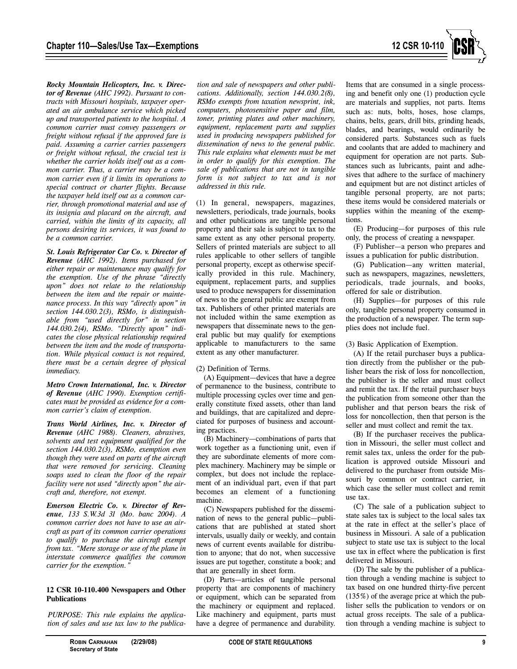

*Rocky Mountain Helicopters, Inc. v. Director of Revenue (AHC 1992). Pursuant to contracts with Missouri hospitals, taxpayer operated an air ambulance service which picked up and transported patients to the hospital. A common carrier must convey passengers or freight without refusal if the approved fare is paid. Assuming a carrier carries passengers or freight without refusal, the crucial test is whether the carrier holds itself out as a common carrier. Thus, a carrier may be a common carrier even if it limits its operations to special contract or charter flights. Because the taxpayer held itself out as a common carrier, through promotional material and use of its insignia and placard on the aircraft, and carried, within the limits of its capacity, all persons desiring its services, it was found to be a common carrier.* 

*St. Louis Refrigerator Car Co. v. Director of Revenue (AHC 1992). Items purchased for either repair or maintenance may qualify for the exemption. Use of the phrase "directly upon" does not relate to the relationship between the item and the repair or maintenance process. In this way "directly upon" in section 144.030.2(3), RSMo, is distinguishable from "used directly for" in section 144.030.2(4), RSMo. "Directly upon" indicates the close physical relationship required between the item and the mode of transportation. While physical contact is not required, there must be a certain degree of physical immediacy.*

*Metro Crown International, Inc. v. Director of Revenue (AHC 1990). Exemption certificates must be provided as evidence for a common carrier's claim of exemption.*

*Trans World Airlines, Inc. v. Director of Revenue (AHC 1988). Cleaners, abrasives, solvents and test equipment qualified for the section 144.030.2(3), RSMo, exemption even though they were used on parts of the aircraft that were removed for servicing. Cleaning soaps used to clean the floor of the repair facility were not used "directly upon" the aircraft and, therefore, not exempt.* 

*Emerson Electric Co. v. Director of Revenue, 133 S.W.3d 31 (Mo. banc 2004). A common carrier does not have to use an aircraft as part of its common carrier operations to qualify to purchase the aircraft exempt from tax. "Mere storage or use of the plane in interstate commerce qualifies the common carrier for the exemption."* 

#### **12 CSR 10-110.400 Newspapers and Other Publications**

*PURPOSE: This rule explains the application of sales and use tax law to the publica-* *tion and sale of newspapers and other publications. Additionally, section 144.030.2(8), RSMo exempts from taxation newsprint, ink, computers, photosensitive paper and film, toner, printing plates and other machinery, equipment, replacement parts and supplies used in producing newspapers published for dissemination of news to the general public. This rule explains what elements must be met in order to qualify for this exemption. The sale of publications that are not in tangible form is not subject to tax and is not addressed in this rule.*

(1) In general, newspapers, magazines, newsletters, periodicals, trade journals, books and other publications are tangible personal property and their sale is subject to tax to the same extent as any other personal property. Sellers of printed materials are subject to all rules applicable to other sellers of tangible personal property, except as otherwise specifically provided in this rule. Machinery, equipment, replacement parts, and supplies used to produce newspapers for dissemination of news to the general public are exempt from tax. Publishers of other printed materials are not included within the same exemption as newspapers that disseminate news to the general public but may qualify for exemptions applicable to manufacturers to the same extent as any other manufacturer.

# (2) Definition of Terms.

(A) Equipment—devices that have a degree of permanence to the business, contribute to multiple processing cycles over time and generally constitute fixed assets, other than land and buildings, that are capitalized and depreciated for purposes of business and accounting practices.

(B) Machinery—combinations of parts that work together as a functioning unit, even if they are subordinate elements of more complex machinery. Machinery may be simple or complex, but does not include the replacement of an individual part, even if that part becomes an element of a functioning machine.

(C) Newspapers published for the dissemination of news to the general public—publications that are published at stated short intervals, usually daily or weekly, and contain news of current events available for distribution to anyone; that do not, when successive issues are put together, constitute a book; and that are generally in sheet form.

(D) Parts—articles of tangible personal property that are components of machinery or equipment, which can be separated from the machinery or equipment and replaced. Like machinery and equipment, parts must have a degree of permanence and durability.

Items that are consumed in a single processing and benefit only one (1) production cycle are materials and supplies, not parts. Items such as: nuts, bolts, hoses, hose clamps, chains, belts, gears, drill bits, grinding heads, blades, and bearings, would ordinarily be considered parts. Substances such as fuels and coolants that are added to machinery and equipment for operation are not parts. Substances such as lubricants, paint and adhesives that adhere to the surface of machinery and equipment but are not distinct articles of tangible personal property, are not parts; these items would be considered materials or supplies within the meaning of the exemptions.

(E) Producing—for purposes of this rule only, the process of creating a newspaper.

(F) Publisher—a person who prepares and issues a publication for public distribution.

(G) Publication—any written material, such as newspapers, magazines, newsletters, periodicals, trade journals, and books, offered for sale or distribution.

(H) Supplies—for purposes of this rule only, tangible personal property consumed in the production of a newspaper. The term supplies does not include fuel.

(3) Basic Application of Exemption.

(A) If the retail purchaser buys a publication directly from the publisher or the publisher bears the risk of loss for noncollection, the publisher is the seller and must collect and remit the tax. If the retail purchaser buys the publication from someone other than the publisher and that person bears the risk of loss for noncollection, then that person is the seller and must collect and remit the tax.

(B) If the purchaser receives the publication in Missouri, the seller must collect and remit sales tax, unless the order for the publication is approved outside Missouri and delivered to the purchaser from outside Missouri by common or contract carrier, in which case the seller must collect and remit use tax.

(C) The sale of a publication subject to state sales tax is subject to the local sales tax at the rate in effect at the seller's place of business in Missouri. A sale of a publication subject to state use tax is subject to the local use tax in effect where the publication is first delivered in Missouri.

(D) The sale by the publisher of a publication through a vending machine is subject to tax based on one hundred thirty-five percent (135%) of the average price at which the publisher sells the publication to vendors or on actual gross receipts. The sale of a publication through a vending machine is subject to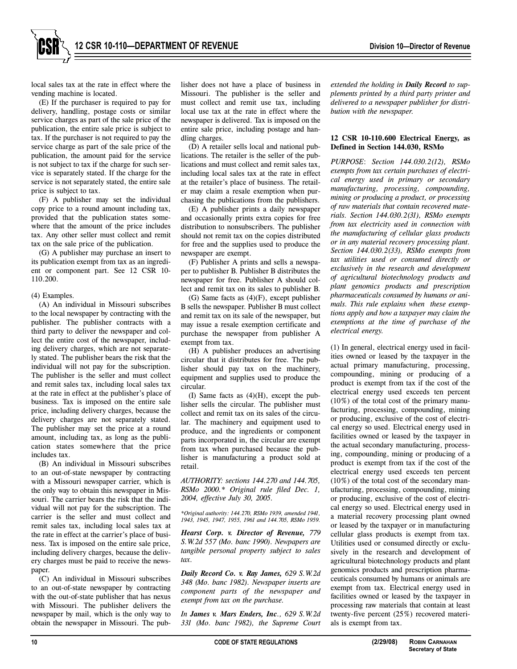local sales tax at the rate in effect where the vending machine is located.

(E) If the purchaser is required to pay for delivery, handling, postage costs or similar service charges as part of the sale price of the publication, the entire sale price is subject to tax. If the purchaser is not required to pay the service charge as part of the sale price of the publication, the amount paid for the service is not subject to tax if the charge for such service is separately stated. If the charge for the service is not separately stated, the entire sale price is subject to tax.

(F) A publisher may set the individual copy price to a round amount including tax, provided that the publication states somewhere that the amount of the price includes tax. Any other seller must collect and remit tax on the sale price of the publication.

(G) A publisher may purchase an insert to its publication exempt from tax as an ingredient or component part. See 12 CSR 10- 110.200.

## (4) Examples.

(A) An individual in Missouri subscribes to the local newspaper by contracting with the publisher. The publisher contracts with a third party to deliver the newspaper and collect the entire cost of the newspaper, including delivery charges, which are not separately stated. The publisher bears the risk that the individual will not pay for the subscription. The publisher is the seller and must collect and remit sales tax, including local sales tax at the rate in effect at the publisher's place of business. Tax is imposed on the entire sale price, including delivery charges, because the delivery charges are not separately stated. The publisher may set the price at a round amount, including tax, as long as the publication states somewhere that the price includes tax.

(B) An individual in Missouri subscribes to an out-of-state newspaper by contracting with a Missouri newspaper carrier, which is the only way to obtain this newspaper in Missouri. The carrier bears the risk that the individual will not pay for the subscription. The carrier is the seller and must collect and remit sales tax, including local sales tax at the rate in effect at the carrier's place of business. Tax is imposed on the entire sale price, including delivery charges, because the delivery charges must be paid to receive the newspaper.

(C) An individual in Missouri subscribes to an out-of-state newspaper by contracting with the out-of-state publisher that has nexus with Missouri. The publisher delivers the newspaper by mail, which is the only way to obtain the newspaper in Missouri. The publisher does not have a place of business in Missouri. The publisher is the seller and must collect and remit use tax, including local use tax at the rate in effect where the newspaper is delivered. Tax is imposed on the entire sale price, including postage and handling charges.

(D) A retailer sells local and national publications. The retailer is the seller of the publications and must collect and remit sales tax, including local sales tax at the rate in effect at the retailer's place of business. The retailer may claim a resale exemption when purchasing the publications from the publishers.

(E) A publisher prints a daily newspaper and occasionally prints extra copies for free distribution to nonsubscribers. The publisher should not remit tax on the copies distributed for free and the supplies used to produce the newspaper are exempt.

(F) Publisher A prints and sells a newspaper to publisher B. Publisher B distributes the newspaper for free. Publisher A should collect and remit tax on its sales to publisher B.

(G) Same facts as (4)(F), except publisher B sells the newspaper. Publisher B must collect and remit tax on its sale of the newspaper, but may issue a resale exemption certificate and purchase the newspaper from publisher A exempt from tax.

(H) A publisher produces an advertising circular that it distributes for free. The publisher should pay tax on the machinery, equipment and supplies used to produce the circular.

(I) Same facts as (4)(H), except the publisher sells the circular. The publisher must collect and remit tax on its sales of the circular. The machinery and equipment used to produce, and the ingredients or component parts incorporated in, the circular are exempt from tax when purchased because the publisher is manufacturing a product sold at retail.

*AUTHORITY: sections 144.270 and 144.705, RSMo 2000.\* Original rule filed Dec. 1, 2004, effective July 30, 2005.*

*\*Original authority: 144.270, RSMo 1939, amended 1941, 1943, 1945, 1947, 1955, 1961 and 144.705, RSMo 1959.*

*Hearst Corp. v. Director of Revenue, 779 S.W.2d 557 (Mo. banc 1990). Newpapers are tangible personal property subject to sales tax.*

*Daily Record Co. v. Ray James, 629 S.W.2d 348 (Mo. banc 1982). Newspaper inserts are component parts of the newspaper and exempt from tax on the purchase.*

*In James v. Mars Enders, Inc., 629 S.W.2d 331 (Mo. banc 1982), the Supreme Court* *extended the holding in Daily Record to supplements printed by a third party printer and delivered to a newspaper publisher for distribution with the newspaper.*

# **12 CSR 10-110.600 Electrical Energy, as Defined in Section 144.030, RSMo**

*PURPOSE*: *Section 144.030.2(12), RSMo exempts from tax certain purchases of electrical energy used in primary or secondary manufacturing, processing, compounding, mining or producing a product, or processing of raw materials that contain recovered materials. Section 144.030.2(31), RSMo exempts from tax electricity used in connection with the manufacturing of cellular glass products or in any material recovery processing plant. Section 144.030.2(33), RSMo exempts from tax utilities used or consumed directly or exclusively in the research and development of agricultural biotechnology products and plant genomics products and prescription pharmaceuticals consumed by humans or animals. This rule explains when these exemptions apply and how a taxpayer may claim the exemptions at the time of purchase of the electrical energy.*

(1) In general, electrical energy used in facilities owned or leased by the taxpayer in the actual primary manufacturing, processing, compounding, mining or producing of a product is exempt from tax if the cost of the electrical energy used exceeds ten percent (10%) of the total cost of the primary manufacturing, processing, compounding, mining or producing, exclusive of the cost of electrical energy so used. Electrical energy used in facilities owned or leased by the taxpayer in the actual secondary manufacturing, processing, compounding, mining or producing of a product is exempt from tax if the cost of the electrical energy used exceeds ten percent (10%) of the total cost of the secondary manufacturing, processing, compounding, mining or producing, exclusive of the cost of electrical energy so used. Electrical energy used in a material recovery processing plant owned or leased by the taxpayer or in manufacturing cellular glass products is exempt from tax*.* Utilities used or consumed directly or exclusively in the research and development of agricultural biotechnology products and plant genomics products and prescription pharmaceuticals consumed by humans or animals are exempt from tax. Electrical energy used in facilities owned or leased by the taxpayer in processing raw materials that contain at least twenty-five percent (25%) recovered materials is exempt from tax.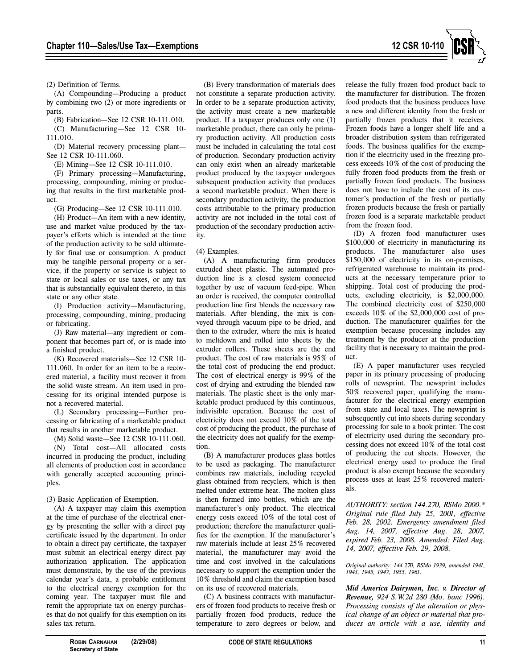

(2) Definition of Terms.

(A) Compounding—Producing a product by combining two (2) or more ingredients or parts.

(B) Fabrication—See 12 CSR 10-111.010.

(C) Manufacturing—See 12 CSR 10- 111.010.

(D) Material recovery processing plant— See 12 CSR 10-111.060.

(E) Mining—See 12 CSR 10-111.010.

(F) Primary processing—Manufacturing, processing, compounding, mining or producing that results in the first marketable product.

(G) Producing—See 12 CSR 10-111.010.

(H) Product—An item with a new identity, use and market value produced by the taxpayer's efforts which is intended at the time of the production activity to be sold ultimately for final use or consumption. A product may be tangible personal property or a service, if the property or service is subject to state or local sales or use taxes, or any tax that is substantially equivalent thereto, in this state or any other state.

(I) Production activity—Manufacturing, processing, compounding, mining, producing or fabricating.

(J) Raw material—any ingredient or component that becomes part of, or is made into a finished product.

(K) Recovered materials—See 12 CSR 10- 111.060. In order for an item to be a recovered material, a facility must recover it from the solid waste stream. An item used in processing for its original intended purpose is not a recovered material.

(L) Secondary processing—Further processing or fabricating of a marketable product that results in another marketable product.

(M) Solid waste—See 12 CSR 10-111.060.

(N) Total cost—All allocated costs incurred in producing the product, including all elements of production cost in accordance with generally accepted accounting principles.

(3) Basic Application of Exemption.

(A) A taxpayer may claim this exemption at the time of purchase of the electrical energy by presenting the seller with a direct pay certificate issued by the department. In order to obtain a direct pay certificate, the taxpayer must submit an electrical energy direct pay authorization application. The application must demonstrate, by the use of the previous calendar year's data, a probable entitlement to the electrical energy exemption for the coming year. The taxpayer must file and remit the appropriate tax on energy purchases that do not qualify for this exemption on its sales tax return.

(B) Every transformation of materials does not constitute a separate production activity. In order to be a separate production activity, the activity must create a new marketable product. If a taxpayer produces only one (1) marketable product, there can only be primary production activity. All production costs must be included in calculating the total cost of production. Secondary production activity can only exist when an already marketable product produced by the taxpayer undergoes subsequent production activity that produces a second marketable product. When there is secondary production activity, the production costs attributable to the primary production activity are not included in the total cost of production of the secondary production activity.

#### (4) Examples.

(A) A manufacturing firm produces extruded sheet plastic. The automated production line is a closed system connected together by use of vacuum feed-pipe. When an order is received, the computer controlled production line first blends the necessary raw materials. After blending, the mix is conveyed through vacuum pipe to be dried, and then to the extruder, where the mix is heated to meltdown and rolled into sheets by the extruder rollers. These sheets are the end product. The cost of raw materials is 95% of the total cost of producing the end product. The cost of electrical energy is 99% of the cost of drying and extruding the blended raw materials. The plastic sheet is the only marketable product produced by this continuous, indivisible operation. Because the cost of electricity does not exceed 10% of the total cost of producing the product, the purchase of the electricity does not qualify for the exemption.

(B) A manufacturer produces glass bottles to be used as packaging. The manufacturer combines raw materials, including recycled glass obtained from recyclers, which is then melted under extreme heat. The molten glass is then formed into bottles, which are the manufacturer's only product. The electrical energy costs exceed 10% of the total cost of production; therefore the manufacturer qualifies for the exemption. If the manufacturer's raw materials include at least 25% recovered material, the manufacturer may avoid the time and cost involved in the calculations necessary to support the exemption under the 10% threshold and claim the exemption based on its use of recovered materials.

(C) A business contracts with manufacturers of frozen food products to receive fresh or partially frozen food products, reduce the temperature to zero degrees or below, and release the fully frozen food product back to the manufacturer for distribution. The frozen food products that the business produces have a new and different identity from the fresh or partially frozen products that it receives. Frozen foods have a longer shelf life and a broader distribution system than refrigerated foods. The business qualifies for the exemption if the electricity used in the freezing process exceeds 10% of the cost of producing the fully frozen food products from the fresh or partially frozen food products. The business does not have to include the cost of its customer's production of the fresh or partially frozen products because the fresh or partially frozen food is a separate marketable product from the frozen food.

(D) A frozen food manufacturer uses \$100,000 of electricity in manufacturing its products. The manufacturer also uses \$150,000 of electricity in its on-premises, refrigerated warehouse to maintain its products at the necessary temperature prior to shipping. Total cost of producing the products, excluding electricity, is \$2,000,000. The combined electricity cost of \$250,000 exceeds 10% of the \$2,000,000 cost of production. The manufacturer qualifies for the exemption because processing includes any treatment by the producer at the production facility that is necessary to maintain the product.

(E) A paper manufacturer uses recycled paper in its primary processing of producing rolls of newsprint. The newsprint includes 50% recovered paper, qualifying the manufacturer for the electrical energy exemption from state and local taxes. The newsprint is subsequently cut into sheets during secondary processing for sale to a book printer. The cost of electricity used during the secondary processing does not exceed 10% of the total cost of producing the cut sheets. However, the electrical energy used to produce the final product is also exempt because the secondary process uses at least 25% recovered materials.

*AUTHORITY: section 144.270, RSMo 2000.\* Original rule filed July 25, 2001, effective Feb. 28, 2002. Emergency amendment filed Aug. 14, 2007, effective Aug. 28, 2007, expired Feb. 23, 2008. Amended: Filed Aug. 14, 2007, effective Feb. 29, 2008.*

*Original authority: 144.270, RSMo 1939, amended 1941, 1943, 1945, 1947, 1955, 1961.*

*Mid America Dairymen, Inc. v. Director of Revenue, 924 S.W.2d 280 (Mo. banc 1996). Processing consists of the alteration or physical change of an object or material that produces an article with a use, identity and*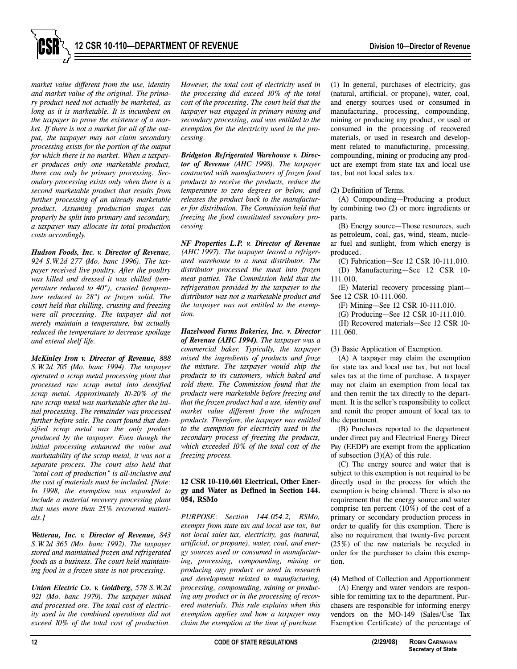

*market value different from the use, identity and market value of the original. The primary product need not actually be marketed, as long as it is marketable. It is incumbent on the taxpayer to prove the existence of a market. If there is not a market for all of the output, the taxpayer may not claim secondary processing exists for the portion of the output for which there is no market. When a taxpayer produces only one marketable product, there can only be primary processing. Secondary processing exists only when there is a second marketable product that results from further processing of an already marketable product. Assuming production stages can properly be split into primary and secondary, a taxpayer may allocate its total production costs accordingly.*

*Hudson Foods, Inc. v. Director of Revenue, 924 S.W.2d 277 (Mo. banc 1996). The taxpayer received live poultry. After the poultry was killed and dressed it was chilled (temperature reduced to 40°), crusted (temperature reduced to 28°) or frozen solid. The court held that chilling, crusting and freezing were all processing. The taxpayer did not merely maintain a temperature, but actually reduced the temperature to decrease spoilage and extend shelf life.* 

*McKinley Iron v. Director of Revenue, 888 S.W.2d 705 (Mo. banc 1994). The taxpayer operated a scrap metal processing plant that processed raw scrap metal into densified scrap metal. Approximately 10-20% of the raw scrap metal was marketable after the initial processing. The remainder was processed further before sale. The court found that densified scrap metal was the only product produced by the taxpayer. Even though the initial processing enhanced the value and marketability of the scrap metal, it was not a separate process. The court also held that "total cost of production" is all-inclusive and the cost of materials must be included. [Note: In 1998, the exemption was expanded to include a material recovery processing plant that uses more than 25% recovered materials.]* 

*Wetterau, Inc. v. Director of Revenue, 843 S.W.2d 365 (Mo. banc 1992). The taxpayer stored and maintained frozen and refrigerated foods as a business. The court held maintaining food in a frozen state is not processing.*

*Union Electric Co. v. Goldberg, 578 S.W.2d 921 (Mo. banc 1979). The taxpayer mined and processed ore. The total cost of electricity used in the combined operations did not exceed 10% of the total cost of production.*

*However, the total cost of electricity used in the processing did exceed 10% of the total cost of the processing. The court held that the taxpayer was engaged in primary mining and secondary processing, and was entitled to the exemption for the electricity used in the processing.*

*Bridgeton Refrigerated Warehouse v. Director of Revenue (AHC 1998). The taxpayer contracted with manufacturers of frozen food products to receive the products, reduce the temperature to zero degrees or below, and releases the product back to the manufacturer for distribution. The Commission held that freezing the food constituted secondary processing.*

*NF Properties L.P. v. Director of Revenue (AHC 1997). The taxpayer leased a refrigerated warehouse to a meat distributor. The distributor processed the meat into frozen meat patties. The Commission held that the refrigeration provided by the taxpayer to the distributor was not a marketable product and the taxpayer was not entitled to the exemption.*

*Hazelwood Farms Bakeries, Inc. v. Director of Revenue (AHC 1994). The taxpayer was a commercial baker. Typically, the taxpayer mixed the ingredients of products and froze the mixture. The taxpayer would ship the products to its customers, which baked and sold them. The Commission found that the products were marketable before freezing and that the frozen product had a use, identity and market value different from the unfrozen products. Therefore, the taxpayer was entitled to the exemption for electricity used in the secondary process of freezing the products, which exceeded 10% of the total cost of the freezing process.*

## **12 CSR 10-110.601 Electrical, Other Energy and Water as Defined in Section 144. 054, RSMo**

*PURPOSE*: *Section 144.054.2, RSMo, exempts from state tax and local use tax, but not local sales tax, electricity, gas (natural, artificial, or propane), water, coal, and energy sources used or consumed in manufacturing, processing, compounding, mining or producing any product or used in research and development related to manufacturing, processing, compounding, mining or producing any product or in the processing of recovered materials. This rule explains when this exemption applies and how a taxpayer may claim the exemption at the time of purchase.* 

(1) In general, purchases of electricity, gas (natural, artificial, or propane), water, coal, and energy sources used or consumed in manufacturing, processing, compounding, mining or producing any product, or used or consumed in the processing of recovered materials, or used in research and development related to manufacturing, processing, compounding, mining or producing any product are exempt from state tax and local use tax, but not local sales tax.

(2) Definition of Terms.

(A) Compounding—Producing a product by combining two (2) or more ingredients or parts.

(B) Energy source—Those resources, such as petroleum, coal, gas, wind, steam, nuclear fuel and sunlight, from which energy is produced.

(C) Fabrication—See 12 CSR 10-111.010.

(D) Manufacturing—See 12 CSR 10- 111.010.

(E) Material recovery processing plant— See 12 CSR 10-111.060.

(F) Mining—See 12 CSR 10-111.010.

(G) Producing—See 12 CSR 10-111.010.

(H) Recovered materials—See 12 CSR 10- 111.060.

(3) Basic Application of Exemption.

(A) A taxpayer may claim the exemption for state tax and local use tax, but not local sales tax at the time of purchase. A taxpayer may not claim an exemption from local tax and then remit the tax directly to the department. It is the seller's responsibility to collect and remit the proper amount of local tax to the department.

(B) Purchases reported to the department under direct pay and Electrical Energy Direct Pay (EEDP) are exempt from the application of subsection (3)(A) of this rule.

(C) The energy source and water that is subject to this exemption is not required to be directly used in the process for which the exemption is being claimed. There is also no requirement that the energy source and water comprise ten percent (10%) of the cost of a primary or secondary production process in order to qualify for this exemption. There is also no requirement that twenty-five percent (25%) of the raw materials be recycled in order for the purchaser to claim this exemption.

(4) Method of Collection and Apportionment

(A) Energy and water vendors are responsible for remitting tax to the department. Purchasers are responsible for informing energy vendors on the MO-149 (Sales/Use Tax Exemption Certificate) of the percentage of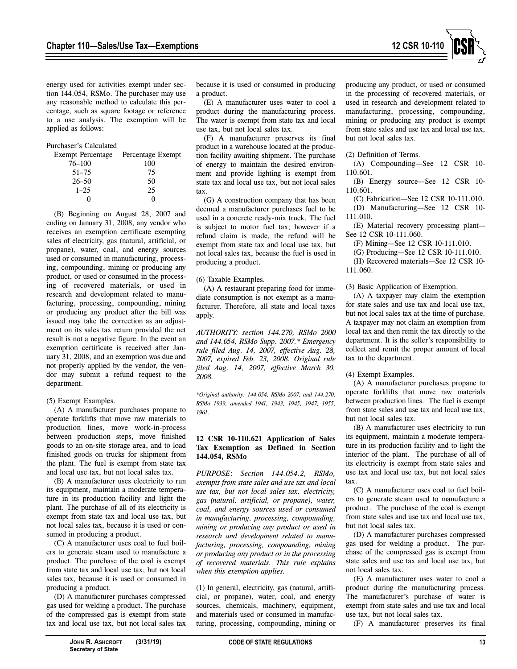

energy used for activities exempt under section 144.054, RSMo. The purchaser may use any reasonable method to calculate this percentage, such as square footage or reference to a use analysis. The exemption will be applied as follows:

## Purchaser's Calculated

| Exempt Percentage | Percentage Exempt |
|-------------------|-------------------|
| $76 - 100$        | 100               |
| $51 - 75$         | 75                |
| $26 - 50$         | 50                |
| $1 - 25$          | 25                |
|                   |                   |

(B) Beginning on August 28, 2007 and ending on January 31, 2008, any vendor who receives an exemption certificate exempting sales of electricity, gas (natural, artificial, or propane), water, coal, and energy sources used or consumed in manufacturing, processing, compounding, mining or producing any product, or used or consumed in the processing of recovered materials, or used in research and development related to manufacturing, processing, compounding, mining or producing any product after the bill was issued may take the correction as an adjustment on its sales tax return provided the net result is not a negative figure. In the event an exemption certificate is received after January 31, 2008, and an exemption was due and not properly applied by the vendor, the vendor may submit a refund request to the department.

## (5) Exempt Examples.

(A) A manufacturer purchases propane to operate forklifts that move raw materials to production lines, move work-in-process between production steps, move finished goods to an on-site storage area, and to load finished goods on trucks for shipment from the plant. The fuel is exempt from state tax and local use tax, but not local sales tax.

(B) A manufacturer uses electricity to run its equipment, maintain a moderate temperature in its production facility and light the plant. The purchase of all of its electricity is exempt from state tax and local use tax, but not local sales tax, because it is used or consumed in producing a product.

(C) A manufacturer uses coal to fuel boilers to generate steam used to manufacture a product. The purchase of the coal is exempt from state tax and local use tax, but not local sales tax, because it is used or consumed in producing a product.

(D) A manufacturer purchases compressed gas used for welding a product. The purchase of the compressed gas is exempt from state tax and local use tax, but not local sales tax because it is used or consumed in producing a product.

(E) A manufacturer uses water to cool a product during the manufacturing process. The water is exempt from state tax and local use tax, but not local sales tax.

(F) A manufacturer preserves its final product in a warehouse located at the production facility awaiting shipment. The purchase of energy to maintain the desired environment and provide lighting is exempt from state tax and local use tax, but not local sales tax.

(G) A construction company that has been deemed a manufacturer purchases fuel to be used in a concrete ready-mix truck. The fuel is subject to motor fuel tax; however if a refund claim is made, the refund will be exempt from state tax and local use tax, but not local sales tax, because the fuel is used in producing a product.

#### (6) Taxable Examples.

(A) A restaurant preparing food for immediate consumption is not exempt as a manufacturer. Therefore, all state and local taxes apply.

*AUTHORITY: section 144.270, RSMo 2000 and 144.054, RSMo Supp. 2007.\* Emergency rule filed Aug. 14, 2007, effective Aug. 28, 2007, expired Feb. 23, 2008. Original rule filed Aug. 14, 2007, effective March 30, 2008.*

*\*Original authority: 144.054, RSMo 2007; and 144.270, RSMo 1939, amended 1941, 1943, 1945, 1947, 1955, 1961.*

## **12 CSR 10-110.621 Application of Sales Tax Exemption as Defined in Section 144.054, RSMo**

*PURPOSE*: *Section 144.054.2, RSMo, exempts from state sales and use tax and local use tax, but not local sales tax, electricity, gas (natural, artificial, or propane), water, coal, and energy sources used or consumed in manufacturing, processing, compounding, mining or producing any product or used in research and development related to manufacturing, processing, compounding, mining or producing any product or in the processing of recovered materials. This rule explains when this exemption applies.*

(1) In general, electricity, gas (natural, artificial, or propane), water, coal, and energy sources, chemicals, machinery, equipment, and materials used or consumed in manufacturing, processing, compounding, mining or producing any product, or used or consumed in the processing of recovered materials, or used in research and development related to manufacturing, processing, compounding, mining or producing any product is exempt from state sales and use tax and local use tax, but not local sales tax.

(2) Definition of Terms.

(A) Compounding—See 12 CSR 10- 110.601.

(B) Energy source—See 12 CSR 10- 110.601.

(C) Fabrication—See 12 CSR 10-111.010.

(D) Manufacturing—See 12 CSR 10-

111.010.

(E) Material recovery processing plant— See 12 CSR 10-111.060.

(F) Mining—See 12 CSR 10-111.010.

(G) Producing—See 12 CSR 10-111.010.

(H) Recovered materials—See 12 CSR 10- 111.060.

(3) Basic Application of Exemption.

(A) A taxpayer may claim the exemption for state sales and use tax and local use tax, but not local sales tax at the time of purchase. A taxpayer may not claim an exemption from local tax and then remit the tax directly to the department. It is the seller's responsibility to collect and remit the proper amount of local tax to the department.

(4) Exempt Examples.

(A) A manufacturer purchases propane to operate forklifts that move raw materials between production lines. The fuel is exempt from state sales and use tax and local use tax, but not local sales tax.

(B) A manufacturer uses electricity to run its equipment, maintain a moderate temperature in its production facility and to light the interior of the plant. The purchase of all of its electricity is exempt from state sales and use tax and local use tax, but not local sales tax.

(C) A manufacturer uses coal to fuel boilers to generate steam used to manufacture a product. The purchase of the coal is exempt from state sales and use tax and local use tax, but not local sales tax.

(D) A manufacturer purchases compressed gas used for welding a product. The purchase of the compressed gas is exempt from state sales and use tax and local use tax, but not local sales tax.

(E) A manufacturer uses water to cool a product during the manufacturing process. The manufacturer's purchase of water is exempt from state sales and use tax and local use tax, but not local sales tax.

(F) A manufacturer preserves its final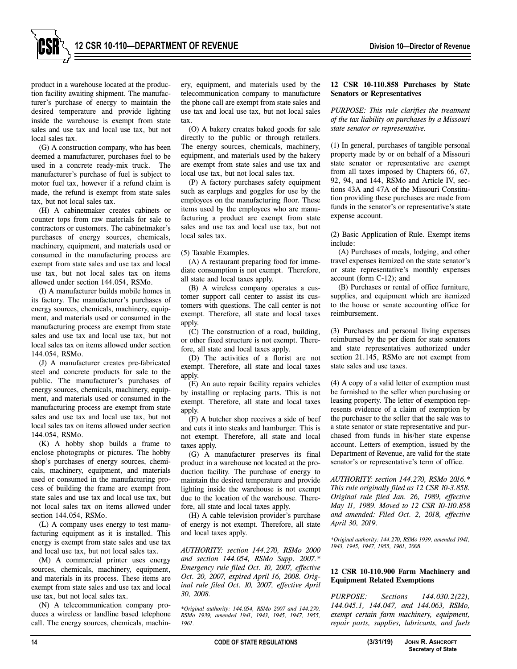

product in a warehouse located at the production facility awaiting shipment. The manufacturer's purchase of energy to maintain the desired temperature and provide lighting inside the warehouse is exempt from state sales and use tax and local use tax, but not local sales tax.

(G) A construction company, who has been deemed a manufacturer, purchases fuel to be used in a concrete ready-mix truck. The manufacturer's purchase of fuel is subject to motor fuel tax, however if a refund claim is made, the refund is exempt from state sales tax, but not local sales tax.

(H) A cabinetmaker creates cabinets or counter tops from raw materials for sale to contractors or customers. The cabinetmaker's purchases of energy sources, chemicals, machinery, equipment, and materials used or consumed in the manufacturing process are exempt from state sales and use tax and local use tax, but not local sales tax on items allowed under section 144.054, RSMo.

(I) A manufacturer builds mobile homes in its factory. The manufacturer's purchases of energy sources, chemicals, machinery, equipment, and materials used or consumed in the manufacturing process are exempt from state sales and use tax and local use tax, but not local sales tax on items allowed under section 144.054, RSMo.

(J) A manufacturer creates pre-fabricated steel and concrete products for sale to the public. The manufacturer's purchases of energy sources, chemicals, machinery, equipment, and materials used or consumed in the manufacturing process are exempt from state sales and use tax and local use tax, but not local sales tax on items allowed under section 144.054, RSMo.

(K) A hobby shop builds a frame to enclose photographs or pictures. The hobby shop's purchases of energy sources, chemicals, machinery, equipment, and materials used or consumed in the manufacturing process of building the frame are exempt from state sales and use tax and local use tax, but not local sales tax on items allowed under section 144.054, RSMo.

(L) A company uses energy to test manufacturing equipment as it is installed. This energy is exempt from state sales and use tax and local use tax, but not local sales tax.

(M) A commercial printer uses energy sources, chemicals, machinery, equipment, and materials in its process. These items are exempt from state sales and use tax and local use tax, but not local sales tax.

(N) A telecommunication company produces a wireless or landline based telephone call. The energy sources, chemicals, machinery, equipment, and materials used by the telecommunication company to manufacture the phone call are exempt from state sales and use tax and local use tax, but not local sales tax.

(O) A bakery creates baked goods for sale directly to the public or through retailers. The energy sources, chemicals, machinery, equipment, and materials used by the bakery are exempt from state sales and use tax and local use tax, but not local sales tax.

(P) A factory purchases safety equipment such as earplugs and goggles for use by the employees on the manufacturing floor. These items used by the employees who are manufacturing a product are exempt from state sales and use tax and local use tax, but not local sales tax.

(5) Taxable Examples.

(A) A restaurant preparing food for immediate consumption is not exempt. Therefore, all state and local taxes apply.

(B) A wireless company operates a customer support call center to assist its customers with questions. The call center is not exempt. Therefore, all state and local taxes apply.

(C) The construction of a road, building, or other fixed structure is not exempt. Therefore, all state and local taxes apply.

(D) The activities of a florist are not exempt. Therefore, all state and local taxes apply.

(E) An auto repair facility repairs vehicles by installing or replacing parts. This is not exempt. Therefore, all state and local taxes apply.

(F) A butcher shop receives a side of beef and cuts it into steaks and hamburger. This is not exempt. Therefore, all state and local taxes apply.

(G) A manufacturer preserves its final product in a warehouse not located at the production facility. The purchase of energy to maintain the desired temperature and provide lighting inside the warehouse is not exempt due to the location of the warehouse. Therefore, all state and local taxes apply.

(H) A cable television provider's purchase of energy is not exempt. Therefore, all state and local taxes apply.

*AUTHORITY: section 144.270, RSMo 2000 and section 144.054, RSMo Supp. 2007.\* Emergency rule filed Oct. 10, 2007, effective Oct. 20, 2007, expired April 16, 2008. Original rule filed Oct. 10, 2007, effective April 30, 2008.*

*\*Original authority: 144.054, RSMo 2007 and 144.270, RSMo 1939, amended 1941, 1943, 1945, 1947, 1955, 1961.*

## **12 CSR 10-110.858 Purchases by State Senators or Representatives**

*PURPOSE: This rule clarifies the treatment of the tax liability on purchases by a Missouri state senator or representative.*

(1) In general, purchases of tangible personal property made by or on behalf of a Missouri state senator or representative are exempt from all taxes imposed by Chapters 66, 67, 92, 94, and 144, RSMo and Article IV, sections 43A and 47A of the Missouri Constitution providing these purchases are made from funds in the senator's or representative's state expense account.

(2) Basic Application of Rule. Exempt items include:

(A) Purchases of meals, lodging, and other travel expenses itemized on the state senator's or state representative's monthly expenses account (form C-12); and

(B) Purchases or rental of office furniture, supplies, and equipment which are itemized to the house or senate accounting office for reimbursement.

(3) Purchases and personal living expenses reimbursed by the per diem for state senators and state representatives authorized under section 21.145, RSMo are not exempt from state sales and use taxes.

(4) A copy of a valid letter of exemption must be furnished to the seller when purchasing or leasing property. The letter of exemption represents evidence of a claim of exemption by the purchaser to the seller that the sale was to a state senator or state representative and purchased from funds in his/her state expense account. Letters of exemption, issued by the Department of Revenue, are valid for the state senator's or representative's term of office.

*AUTHORITY: section 144.270, RSMo 2016.\* This rule originally filed as 12 CSR 10-3.858. Original rule filed Jan. 26, 1989, effective May 11, 1989. Moved to 12 CSR 10-110.858 and amended: Filed Oct. 2, 2018, effective April 30, 2019.*

*\*Original authority: 144.270, RSMo 1939, amended 1941, 1943, 1945, 1947, 1955, 1961, 2008.*

# **12 CSR 10-110.900 Farm Machinery and Equipment Related Exemptions**

*PURPOSE: Sections 144.030.2(22), 144.045.1, 144.047, and 144.063, RSMo, exempt certain farm machinery, equipment, repair parts, supplies, lubricants, and fuels*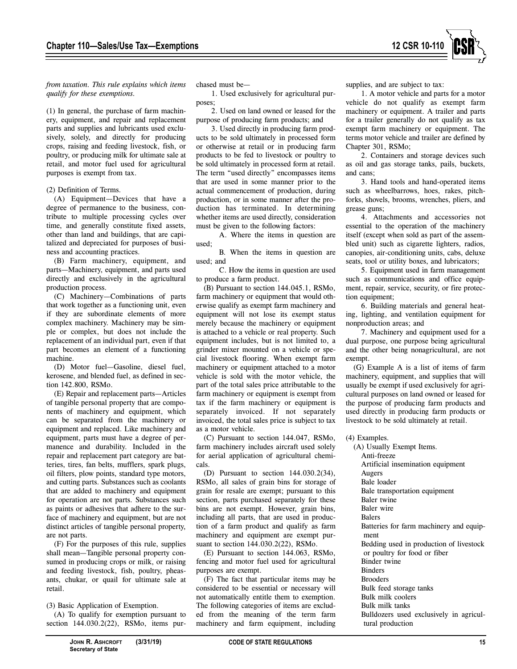

*from taxation. This rule explains which items qualify for these exemptions.*

(1) In general, the purchase of farm machinery, equipment, and repair and replacement parts and supplies and lubricants used exclusively, solely, and directly for producing crops, raising and feeding livestock, fish, or poultry, or producing milk for ultimate sale at retail, and motor fuel used for agricultural purposes is exempt from tax.

(2) Definition of Terms.

(A) Equipment—Devices that have a degree of permanence to the business, contribute to multiple processing cycles over time, and generally constitute fixed assets, other than land and buildings, that are capitalized and depreciated for purposes of business and accounting practices.

(B) Farm machinery, equipment, and parts—Machinery, equipment, and parts used directly and exclusively in the agricultural production process.

(C) Machinery—Combinations of parts that work together as a functioning unit, even if they are subordinate elements of more complex machinery. Machinery may be simple or complex, but does not include the replacement of an individual part, even if that part becomes an element of a functioning machine.

(D) Motor fuel—Gasoline, diesel fuel, kerosene, and blended fuel, as defined in section 142.800, RSMo.

(E) Repair and replacement parts—Articles of tangible personal property that are components of machinery and equipment, which can be separated from the machinery or equipment and replaced. Like machinery and equipment, parts must have a degree of permanence and durability. Included in the repair and replacement part category are batteries, tires, fan belts, mufflers, spark plugs, oil filters, plow points, standard type motors, and cutting parts. Substances such as coolants that are added to machinery and equipment for operation are not parts. Substances such as paints or adhesives that adhere to the surface of machinery and equipment, but are not distinct articles of tangible personal property, are not parts.

(F) For the purposes of this rule, supplies shall mean—Tangible personal property consumed in producing crops or milk, or raising and feeding livestock, fish, poultry, pheasants, chukar, or quail for ultimate sale at retail.

(3) Basic Application of Exemption.

(A) To qualify for exemption pursuant to section 144.030.2(22), RSMo, items purchased must be—

1. Used exclusively for agricultural purposes;

2. Used on land owned or leased for the purpose of producing farm products; and

3. Used directly in producing farm products to be sold ultimately in processed form or otherwise at retail or in producing farm products to be fed to livestock or poultry to be sold ultimately in processed form at retail. The term "used directly" encompasses items that are used in some manner prior to the actual commencement of production, during production, or in some manner after the production has terminated. In determining whether items are used directly, consideration must be given to the following factors:

A. Where the items in question are used;

B. When the items in question are used; and

C. How the items in question are used to produce a farm product.

(B) Pursuant to section 144.045.1, RSMo, farm machinery or equipment that would otherwise qualify as exempt farm machinery and equipment will not lose its exempt status merely because the machinery or equipment is attached to a vehicle or real property. Such equipment includes, but is not limited to, a grinder mixer mounted on a vehicle or special livestock flooring. When exempt farm machinery or equipment attached to a motor vehicle is sold with the motor vehicle, the part of the total sales price attributable to the farm machinery or equipment is exempt from tax if the farm machinery or equipment is separately invoiced. If not separately invoiced, the total sales price is subject to tax as a motor vehicle.

(C) Pursuant to section 144.047, RSMo, farm machinery includes aircraft used solely for aerial application of agricultural chemicals.

(D) Pursuant to section 144.030.2(34), RSMo, all sales of grain bins for storage of grain for resale are exempt; pursuant to this section, parts purchased separately for these bins are not exempt. However, grain bins, including all parts, that are used in production of a farm product and qualify as farm machinery and equipment are exempt pursuant to section 144.030.2(22), RSMo.

(E) Pursuant to section 144.063, RSMo, fencing and motor fuel used for agricultural purposes are exempt.

(F) The fact that particular items may be considered to be essential or necessary will not automatically entitle them to exemption. The following categories of items are excluded from the meaning of the term farm machinery and farm equipment, including supplies, and are subject to tax:

1. A motor vehicle and parts for a motor vehicle do not qualify as exempt farm machinery or equipment. A trailer and parts for a trailer generally do not qualify as tax exempt farm machinery or equipment. The terms motor vehicle and trailer are defined by Chapter 301, RSMo;

2. Containers and storage devices such as oil and gas storage tanks, pails, buckets, and cans;

3. Hand tools and hand-operated items such as wheelbarrows, hoes, rakes, pitchforks, shovels, brooms, wrenches, pliers, and grease guns;

4. Attachments and accessories not essential to the operation of the machinery itself (except when sold as part of the assembled unit) such as cigarette lighters, radios, canopies, air-conditioning units, cabs, deluxe seats, tool or utility boxes, and lubricators;

5. Equipment used in farm management such as communications and office equipment, repair, service, security, or fire protection equipment;

6. Building materials and general heating, lighting, and ventilation equipment for nonproduction areas; and

7. Machinery and equipment used for a dual purpose, one purpose being agricultural and the other being nonagricultural, are not exempt.

(G) Example A is a list of items of farm machinery, equipment, and supplies that will usually be exempt if used exclusively for agricultural purposes on land owned or leased for the purpose of producing farm products and used directly in producing farm products or livestock to be sold ultimately at retail.

(4) Examples.

(A) Usually Exempt Items. Anti-freeze Artificial insemination equipment Augers Bale loader Bale transportation equipment Baler twine Baler wire Balers Batteries for farm machinery and equipment Bedding used in production of livestock or poultry for food or fiber Binder twine **Binders** Brooders Bulk feed storage tanks Bulk milk coolers Bulk milk tanks Bulldozers used exclusively in agricultural production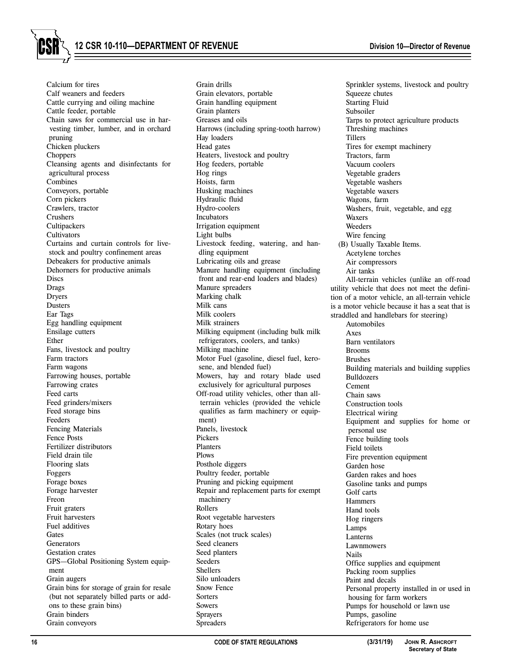**12 CSR 10-110—DEPARTMENT OF REVENUE Division 10—Director of Revenue**

Calcium for tires Calf weaners and feeders Cattle currying and oiling machine Cattle feeder, portable Chain saws for commercial use in harvesting timber, lumber, and in orchard pruning Chicken pluckers Choppers Cleansing agents and disinfectants for agricultural process Combines Conveyors, portable Corn pickers Crawlers, tractor Crushers **Cultipackers Cultivators** Curtains and curtain controls for livestock and poultry confinement areas Debeakers for productive animals Dehorners for productive animals **Discs** Drags Dryers Dusters Ear Tags Egg handling equipment Ensilage cutters Ether Fans, livestock and poultry Farm tractors Farm wagons Farrowing houses, portable Farrowing crates Feed carts Feed grinders/mixers Feed storage bins Feeders Fencing Materials Fence Posts Fertilizer distributors Field drain tile Flooring slats Foggers Forage boxes Forage harvester Freon Fruit graters Fruit harvesters Fuel additives **Gates Generators** Gestation crates GPS—Global Positioning System equipment Grain augers Grain bins for storage of grain for resale (but not separately billed parts or addons to these grain bins) Grain binders Grain conveyors

Grain drills Grain elevators, portable Grain handling equipment Grain planters Greases and oils Harrows (including spring-tooth harrow) Hay loaders Head gates Heaters, livestock and poultry Hog feeders, portable Hog rings Hoists, farm Husking machines Hydraulic fluid Hydro-coolers Incubators Irrigation equipment Light bulbs Livestock feeding, watering, and handling equipment Lubricating oils and grease Manure handling equipment (including front and rear-end loaders and blades) Manure spreaders Marking chalk Milk cans Milk coolers Milk strainers Milking equipment (including bulk milk refrigerators, coolers, and tanks) Milking machine Motor Fuel (gasoline, diesel fuel, kerosene, and blended fuel) Mowers, hay and rotary blade used exclusively for agricultural purposes Off-road utility vehicles, other than allterrain vehicles (provided the vehicle qualifies as farm machinery or equipment) Panels, livestock Pickers Planters Plows Posthole diggers Poultry feeder, portable Pruning and picking equipment Repair and replacement parts for exempt machinery Rollers Root vegetable harvesters Rotary hoes Scales (not truck scales) Seed cleaners Seed planters Seeders **Shellers** Silo unloaders Snow Fence **Sorters** Sowers Sprayers Spreaders

Sprinkler systems, livestock and poultry Squeeze chutes Starting Fluid Subsoiler Tarps to protect agriculture products Threshing machines Tillers Tires for exempt machinery Tractors, farm Vacuum coolers Vegetable graders Vegetable washers Vegetable waxers Wagons, farm Washers, fruit, vegetable, and egg Waxers Weeders Wire fencing (B) Usually Taxable Items. Acetylene torches Air compressors Air tanks All-terrain vehicles (unlike an off-road utility vehicle that does not meet the definition of a motor vehicle, an all-terrain vehicle is a motor vehicle because it has a seat that is straddled and handlebars for steering) Automobiles Axes Barn ventilators Brooms Brushes Building materials and building supplies Bulldozers Cement Chain saws Construction tools Electrical wiring Equipment and supplies for home or personal use Fence building tools Field toilets Fire prevention equipment Garden hose Garden rakes and hoes Gasoline tanks and pumps Golf carts Hammers Hand tools Hog ringers Lamps Lanterns Lawnmowers Nails Office supplies and equipment Packing room supplies Paint and decals Personal property installed in or used in housing for farm workers Pumps for household or lawn use Pumps, gasoline Refrigerators for home use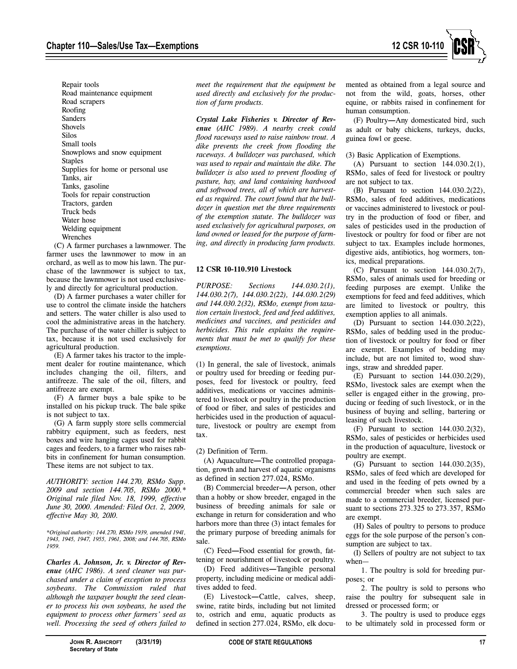

Repair tools Road maintenance equipment Road scrapers Roofing Sanders Shovels Silos Small tools Snowplows and snow equipment **Staples** Supplies for home or personal use Tanks, air Tanks, gasoline Tools for repair construction Tractors, garden Truck beds Water hose Welding equipment Wrenches

(C) A farmer purchases a lawnmower. The farmer uses the lawnmower to mow in an orchard, as well as to mow his lawn. The purchase of the lawnmower is subject to tax, because the lawnmower is not used exclusively and directly for agricultural production.

(D) A farmer purchases a water chiller for use to control the climate inside the hatchers and setters. The water chiller is also used to cool the administrative areas in the hatchery. The purchase of the water chiller is subject to tax, because it is not used exclusively for agricultural production.

(E) A farmer takes his tractor to the implement dealer for routine maintenance, which includes changing the oil, filters, and antifreeze. The sale of the oil, filters, and antifreeze are exempt.

(F) A farmer buys a bale spike to be installed on his pickup truck. The bale spike is not subject to tax.

(G) A farm supply store sells commercial rabbitry equipment, such as feeders, nest boxes and wire hanging cages used for rabbit cages and feeders, to a farmer who raises rabbits in confinement for human consumption. These items are not subject to tax.

*AUTHORITY: section 144.270, RSMo Supp. 2009 and section 144.705, RSMo 2000.\* Original rule filed Nov. 18, 1999, effective June 30, 2000. Amended: Filed Oct. 2, 2009, effective May 30, 2010.*

*\*Original authority: 144.270, RSMo 1939, amended 1941, 1943, 1945, 1947, 1955, 1961, 2008; and 144.705, RSMo 1959.*

*Charles A. Johnson, Jr. v. Director of Revenue (AHC 1986). A seed cleaner was purchased under a claim of exception to process soybeans. The Commission ruled that although the taxpayer bought the seed cleaner to process his own soybeans, he used the equipment to process other farmers' seed as well. Processing the seed of others failed to* *meet the requirement that the equipment be used directly and exclusively for the production of farm products.*

*Crystal Lake Fisheries v. Director of Revenue (AHC 1989). A nearby creek could flood raceways used to raise rainbow trout. A dike prevents the creek from flooding the raceways. A bulldozer was purchased, which was used to repair and maintain the dike. The bulldozer is also used to prevent flooding of pasture, hay, and land containing hardwood and softwood trees, all of which are harvested as required. The court found that the bulldozer in question met the three requirements of the exemption statute. The bulldozer was used exclusively for agricultural purposes, on land owned or leased for the purpose of farming, and directly in producing farm products.*

# **12 CSR 10-110.910 Livestock**

*PURPOSE: Sections 144.030.2(1), 144.030.2(7), 144.030.2(22), 144.030.2(29) and 144.030.2(32), RSMo, exempt from taxation certain livestock, feed and feed additives, medicines and vaccines, and pesticides and herbicides. This rule explains the requirements that must be met to qualify for these exemptions.*

(1) In general, the sale of livestock, animals or poultry used for breeding or feeding purposes, feed for livestock or poultry, feed additives, medications or vaccines administered to livestock or poultry in the production of food or fiber, and sales of pesticides and herbicides used in the production of aquaculture, livestock or poultry are exempt from tax.

# (2) Definition of Term.

(A) Aquaculture**—**The controlled propagation, growth and harvest of aquatic organisms as defined in section 277.024, RSMo.

(B) Commercial breeder**—**A person, other than a hobby or show breeder, engaged in the business of breeding animals for sale or exchange in return for consideration and who harbors more than three (3) intact females for the primary purpose of breeding animals for sale.

(C) Feed**—**Food essential for growth, fattening or nourishment of livestock or poultry.

(D) Feed additives**—**Tangible personal property, including medicine or medical additives added to feed.

(E) Livestock**—**Cattle, calves, sheep, swine, ratite birds, including but not limited to, ostrich and emu, aquatic products as defined in section 277.024, RSMo, elk documented as obtained from a legal source and not from the wild, goats, horses, other equine, or rabbits raised in confinement for human consumption.

(F) Poultry**—**Any domesticated bird, such as adult or baby chickens, turkeys, ducks, guinea fowl or geese.

## (3) Basic Application of Exemptions.

(A) Pursuant to section 144.030.2(1), RSMo, sales of feed for livestock or poultry are not subject to tax.

(B) Pursuant to section 144.030.2(22), RSMo, sales of feed additives, medications or vaccines administered to livestock or poultry in the production of food or fiber, and sales of pesticides used in the production of livestock or poultry for food or fiber are not subject to tax. Examples include hormones, digestive aids, antibiotics, hog wormers, tonics, medical preparations.

(C) Pursuant to section 144.030.2(7), RSMo, sales of animals used for breeding or feeding purposes are exempt. Unlike the exemptions for feed and feed additives, which are limited to livestock or poultry, this exemption applies to all animals.

(D) Pursuant to section 144.030.2(22), RSMo, sales of bedding used in the production of livestock or poultry for food or fiber are exempt. Examples of bedding may include, but are not limited to, wood shavings, straw and shredded paper.

(E) Pursuant to section 144.030.2(29), RSMo, livestock sales are exempt when the seller is engaged either in the growing, producing or feeding of such livestock, or in the business of buying and selling, bartering or leasing of such livestock.

(F) Pursuant to section 144.030.2(32), RSMo, sales of pesticides or herbicides used in the production of aquaculture, livestock or poultry are exempt.

(G) Pursuant to section 144.030.2(35), RSMo, sales of feed which are developed for and used in the feeding of pets owned by a commercial breeder when such sales are made to a commercial breeder, licensed pursuant to sections 273.325 to 273.357, RSMo are exempt.

(H) Sales of poultry to persons to produce eggs for the sole purpose of the person's consumption are subject to tax.

(I) Sellers of poultry are not subject to tax when—

1. The poultry is sold for breeding purposes; or

2. The poultry is sold to persons who raise the poultry for subsequent sale in dressed or processed form; or

3. The poultry is used to produce eggs to be ultimately sold in processed form or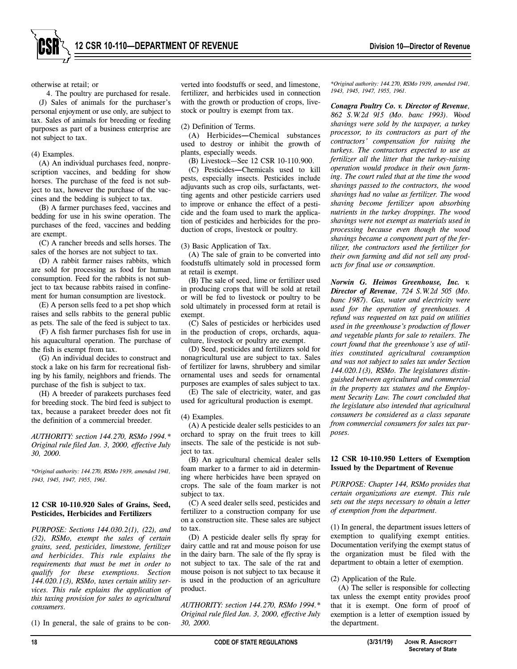otherwise at retail; or

4. The poultry are purchased for resale. (J) Sales of animals for the purchaser's personal enjoyment or use only, are subject to tax. Sales of animals for breeding or feeding purposes as part of a business enterprise are not subject to tax.

## (4) Examples.

(A) An individual purchases feed, nonprescription vaccines, and bedding for show horses. The purchase of the feed is not subject to tax, however the purchase of the vaccines and the bedding is subject to tax.

(B) A farmer purchases feed, vaccines and bedding for use in his swine operation. The purchases of the feed, vaccines and bedding are exempt.

(C) A rancher breeds and sells horses. The sales of the horses are not subject to tax.

(D) A rabbit farmer raises rabbits, which are sold for processing as food for human consumption. Feed for the rabbits is not subject to tax because rabbits raised in confinement for human consumption are livestock.

(E) A person sells feed to a pet shop which raises and sells rabbits to the general public as pets. The sale of the feed is subject to tax.

(F) A fish farmer purchases fish for use in his aquacultural operation. The purchase of the fish is exempt from tax.

(G) An individual decides to construct and stock a lake on his farm for recreational fishing by his family, neighbors and friends. The purchase of the fish is subject to tax.

(H) A breeder of parakeets purchases feed for breeding stock. The bird feed is subject to tax, because a parakeet breeder does not fit the definition of a commercial breeder.

*AUTHORITY: section 144.270, RSMo 1994.\* Original rule filed Jan. 3, 2000, effective July 30, 2000.*

*\*Original authority: 144.270, RSMo 1939, amended 1941, 1943, 1945, 1947, 1955, 1961.*

## **12 CSR 10-110.920 Sales of Grains, Seed, Pesticides, Herbicides and Fertilizers**

*PURPOSE: Sections 144.030.2(1), (22), and (32), RSMo, exempt the sales of certain grains, seed, pesticides, limestone, fertilizer and herbicides. This rule explains the requirements that must be met in order to qualify for these exemptions. Section 144.020.1(3), RSMo, taxes certain utility services. This rule explains the application of this taxing provision for sales to agricultural consumers.*

(1) In general, the sale of grains to be con-

verted into foodstuffs or seed, and limestone, fertilizer, and herbicides used in connection with the growth or production of crops, livestock or poultry is exempt from tax.

## (2) Definition of Terms.

(A) Herbicides**—**Chemical substances used to destroy or inhibit the growth of plants, especially weeds.

(B) Livestock—See 12 CSR 10-110.900.

(C) Pesticides**—**Chemicals used to kill pests, especially insects. Pesticides include adjuvants such as crop oils, surfactants, wetting agents and other pesticide carriers used to improve or enhance the effect of a pesticide and the foam used to mark the application of pesticides and herbicides for the production of crops, livestock or poultry.

(3) Basic Application of Tax.

(A) The sale of grain to be converted into foodstuffs ultimately sold in processed form at retail is exempt.

(B) The sale of seed, lime or fertilizer used in producing crops that will be sold at retail or will be fed to livestock or poultry to be sold ultimately in processed form at retail is exempt.

(C) Sales of pesticides or herbicides used in the production of crops, orchards, aquaculture, livestock or poultry are exempt.

(D) Seed, pesticides and fertilizers sold for nonagricultural use are subject to tax. Sales of fertilizer for lawns, shrubbery and similar ornamental uses and seeds for ornamental purposes are examples of sales subject to tax.

(E) The sale of electricity, water, and gas used for agricultural production is exempt.

## (4) Examples.

(A) A pesticide dealer sells pesticides to an orchard to spray on the fruit trees to kill insects. The sale of the pesticide is not subject to tax.

(B) An agricultural chemical dealer sells foam marker to a farmer to aid in determining where herbicides have been sprayed on crops. The sale of the foam marker is not subject to tax.

(C) A seed dealer sells seed, pesticides and fertilizer to a construction company for use on a construction site. These sales are subject to tax.

(D) A pesticide dealer sells fly spray for dairy cattle and rat and mouse poison for use in the dairy barn. The sale of the fly spray is not subject to tax. The sale of the rat and mouse poison is not subject to tax because it is used in the production of an agriculture product.

*AUTHORITY: section 144.270, RSMo 1994.\* Original rule filed Jan. 3, 2000, effective July 30, 2000.*

*\*Original authority: 144.270, RSMo 1939, amended 1941, 1943, 1945, 1947, 1955, 1961.*

*Conagra Poultry Co. v. Director of Revenue, 862 S.W.2d 915 (Mo. banc 1993). Wood shavings were sold by the taxpayer, a turkey processor, to its contractors as part of the contractors' compensation for raising the turkeys. The contractors expected to use as fertilizer all the litter that the turkey-raising operation would produce in their own farming. The court ruled that at the time the wood shavings passed to the contractors, the wood shavings had no value as fertilizer. The wood shaving become fertilizer upon absorbing nutrients in the turkey droppings. The wood shavings were not exempt as materials used in processing because even though the wood shavings became a component part of the fertilizer, the contractors used the fertilizer for their own farming and did not sell any products for final use or consumption.*

*Norwin G. Heimos Greenhouse, Inc. v. Director of Revenue, 724 S.W.2d 505 (Mo. banc 1987). Gas, water and electricity were used for the operation of greenhouses. A refund was requested on tax paid on utilities used in the greenhouse's production of flower and vegetable plants for sale to retailers. The court found that the greenhouse's use of utilities constituted agricultural consumption and was not subject to sales tax under Section 144.020.1(3), RSMo. The legislatures distinguished between agricultural and commercial in the property tax statutes and the Employment Security Law. The court concluded that the legislature also intended that agricultural consumers be considered as a class separate from commercial consumers for sales tax purposes.*

## **12 CSR 10-110.950 Letters of Exemption Issued by the Department of Revenue**

*PURPOSE: Chapter 144, RSMo provides that certain organizations are exempt. This rule sets out the steps necessary to obtain a letter of exemption from the department.*

(1) In general, the department issues letters of exemption to qualifying exempt entities. Documentation verifying the exempt status of the organization must be filed with the department to obtain a letter of exemption.

## (2) Application of the Rule.

(A) The seller is responsible for collecting tax unless the exempt entity provides proof that it is exempt. One form of proof of exemption is a letter of exemption issued by the department.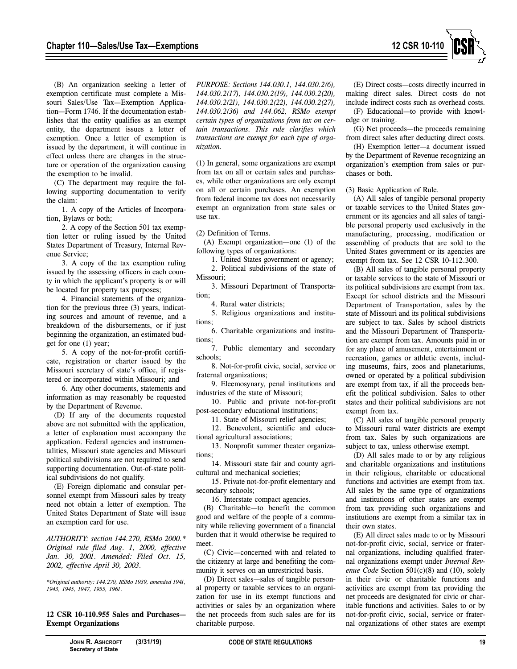

(B) An organization seeking a letter of exemption certificate must complete a Missouri Sales/Use Tax—Exemption Application—Form 1746. If the documentation establishes that the entity qualifies as an exempt entity, the department issues a letter of exemption. Once a letter of exemption is issued by the department, it will continue in effect unless there are changes in the structure or operation of the organization causing the exemption to be invalid.

(C) The department may require the following supporting documentation to verify the claim:

1. A copy of the Articles of Incorporation, Bylaws or both;

2. A copy of the Section 501 tax exemption letter or ruling issued by the United States Department of Treasury, Internal Revenue Service;

3. A copy of the tax exemption ruling issued by the assessing officers in each county in which the applicant's property is or will be located for property tax purposes;

4. Financial statements of the organization for the previous three (3) years, indicating sources and amount of revenue, and a breakdown of the disbursements, or if just beginning the organization, an estimated budget for one (1) year;

5. A copy of the not-for-profit certificate, registration or charter issued by the Missouri secretary of state's office, if registered or incorporated within Missouri; and

6. Any other documents, statements and information as may reasonably be requested by the Department of Revenue.

(D) If any of the documents requested above are not submitted with the application, a letter of explanation must accompany the application. Federal agencies and instrumentalities, Missouri state agencies and Missouri political subdivisions are not required to send supporting documentation. Out-of-state political subdivisions do not qualify.

(E) Foreign diplomatic and consular personnel exempt from Missouri sales by treaty need not obtain a letter of exemption. The United States Department of State will issue an exemption card for use.

*AUTHORITY: section 144.270, RSMo 2000.\* Original rule filed Aug. 1, 2000, effective Jan. 30, 2001. Amended: Filed Oct. 15, 2002, effective April 30, 2003.*

*\*Original authority: 144.270, RSMo 1939, amended 1941, 1943, 1945, 1947, 1955, 1961.*

**12 CSR 10-110.955 Sales and Purchases— Exempt Organizations**

*PURPOSE: Sections 144.030.1, 144.030.2(6), 144.030.2(17), 144.030.2(19), 144.030.2(20), 144.030.2(21), 144.030.2(22), 144.030.2(27), 144.030.2(36) and 144.062, RSMo exempt certain types of organizations from tax on certain transactions. This rule clarifies which transactions are exempt for each type of organization.*

(1) In general, some organizations are exempt from tax on all or certain sales and purchases, while other organizations are only exempt on all or certain purchases. An exemption from federal income tax does not necessarily exempt an organization from state sales or use tax.

(2) Definition of Terms.

(A) Exempt organization—one (1) of the following types of organizations:

1. United States government or agency;

2. Political subdivisions of the state of Missouri<sup>,</sup>

3. Missouri Department of Transportation;

4. Rural water districts;

5. Religious organizations and institutions;

6. Charitable organizations and institutions;

7. Public elementary and secondary schools;

8. Not-for-profit civic, social, service or fraternal organizations;

9. Eleemosynary, penal institutions and industries of the state of Missouri;

10. Public and private not-for-profit post-secondary educational institutions;

11. State of Missouri relief agencies;

12. Benevolent, scientific and educational agricultural associations;

13. Nonprofit summer theater organizations;

14. Missouri state fair and county agricultural and mechanical societies;

15. Private not-for-profit elementary and secondary schools;

16. Interstate compact agencies.

(B) Charitable—to benefit the common good and welfare of the people of a community while relieving government of a financial burden that it would otherwise be required to meet.

(C) Civic—concerned with and related to the citizenry at large and benefiting the community it serves on an unrestricted basis.

(D) Direct sales—sales of tangible personal property or taxable services to an organization for use in its exempt functions and activities or sales by an organization where the net proceeds from such sales are for its charitable purpose.

(E) Direct costs—costs directly incurred in making direct sales. Direct costs do not include indirect costs such as overhead costs. (F) Educational—to provide with knowl-

edge or training. (G) Net proceeds—the proceeds remaining

from direct sales after deducting direct costs.

(H) Exemption letter—a document issued by the Department of Revenue recognizing an organization's exemption from sales or purchases or both.

(3) Basic Application of Rule.

(A) All sales of tangible personal property or taxable services to the United States government or its agencies and all sales of tangible personal property used exclusively in the manufacturing, processing, modification or assembling of products that are sold to the United States government or its agencies are exempt from tax. See 12 CSR 10-112.300.

(B) All sales of tangible personal property or taxable services to the state of Missouri or its political subdivisions are exempt from tax. Except for school districts and the Missouri Department of Transportation, sales by the state of Missouri and its political subdivisions are subject to tax. Sales by school districts and the Missouri Department of Transportation are exempt from tax. Amounts paid in or for any place of amusement, entertainment or recreation, games or athletic events, including museums, fairs, zoos and planetariums, owned or operated by a political subdivision are exempt from tax, if all the proceeds benefit the political subdivision. Sales to other states and their political subdivisions are not exempt from tax.

(C) All sales of tangible personal property to Missouri rural water districts are exempt from tax. Sales by such organizations are subject to tax, unless otherwise exempt.

(D) All sales made to or by any religious and charitable organizations and institutions in their religious, charitable or educational functions and activities are exempt from tax. All sales by the same type of organizations and institutions of other states are exempt from tax providing such organizations and institutions are exempt from a similar tax in their own states.

(E) All direct sales made to or by Missouri not-for-profit civic, social, service or fraternal organizations, including qualified fraternal organizations exempt under *Internal Revenue Code* Section 501(c)(8) and (10), solely in their civic or charitable functions and activities are exempt from tax providing the net proceeds are designated for civic or charitable functions and activities. Sales to or by not-for-profit civic, social, service or fraternal organizations of other states are exempt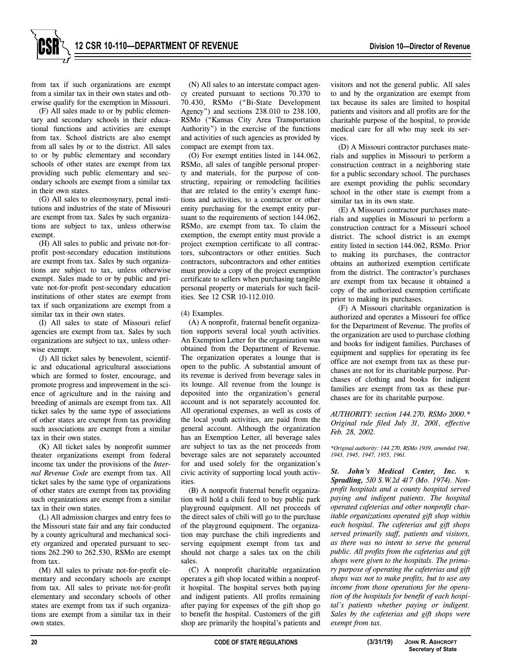from tax if such organizations are exempt from a similar tax in their own states and otherwise qualify for the exemption in Missouri.

(F) All sales made to or by public elementary and secondary schools in their educational functions and activities are exempt from tax. School districts are also exempt from all sales by or to the district. All sales to or by public elementary and secondary schools of other states are exempt from tax providing such public elementary and secondary schools are exempt from a similar tax in their own states.

(G) All sales to eleemosynary, penal institutions and industries of the state of Missouri are exempt from tax. Sales by such organizations are subject to tax, unless otherwise exempt.

(H) All sales to public and private not-forprofit post-secondary education institutions are exempt from tax. Sales by such organizations are subject to tax, unless otherwise exempt. Sales made to or by public and private not-for-profit post-secondary education institutions of other states are exempt from tax if such organizations are exempt from a similar tax in their own states.

(I) All sales to state of Missouri relief agencies are exempt from tax. Sales by such organizations are subject to tax, unless otherwise exempt.

(J) All ticket sales by benevolent, scientific and educational agricultural associations which are formed to foster, encourage, and promote progress and improvement in the science of agriculture and in the raising and breeding of animals are exempt from tax. All ticket sales by the same type of associations of other states are exempt from tax providing such associations are exempt from a similar tax in their own states.

(K) All ticket sales by nonprofit summer theater organizations exempt from federal income tax under the provisions of the *Internal Revenue Code* are exempt from tax. All ticket sales by the same type of organizations of other states are exempt from tax providing such organizations are exempt from a similar tax in their own states.

(L) All admission charges and entry fees to the Missouri state fair and any fair conducted by a county agricultural and mechanical society organized and operated pursuant to sections 262.290 to 262.530, RSMo are exempt from tax.

(M) All sales to private not-for-profit elementary and secondary schools are exempt from tax. All sales to private not-for-profit elementary and secondary schools of other states are exempt from tax if such organizations are exempt from a similar tax in their own states.

(N) All sales to an interstate compact agency created pursuant to sections 70.370 to 70.430, RSMo ("Bi-State Development Agency") and sections 238.010 to 238.100, RSMo ("Kansas City Area Transportation Authority") in the exercise of the functions and activities of such agencies as provided by compact are exempt from tax.

(O) For exempt entities listed in 144.062, RSMo, all sales of tangible personal property and materials, for the purpose of constructing, repairing or remodeling facilities that are related to the entity's exempt functions and activities, to a contractor or other entity purchasing for the exempt entity pursuant to the requirements of section 144.062, RSMo, are exempt from tax. To claim the exemption, the exempt entity must provide a project exemption certificate to all contractors, subcontractors or other entities. Such contractors, subcontractors and other entities must provide a copy of the project exemption certificate to sellers when purchasing tangible personal property or materials for such facilities. See 12 CSR 10-112.010.

## (4) Examples.

(A) A nonprofit, fraternal benefit organization supports several local youth activities. An Exemption Letter for the organization was obtained from the Department of Revenue. The organization operates a lounge that is open to the public. A substantial amount of its revenue is derived from beverage sales in its lounge. All revenue from the lounge is deposited into the organization's general account and is not separately accounted for. All operational expenses, as well as costs of the local youth activities, are paid from the general account. Although the organization has an Exemption Letter, all beverage sales are subject to tax as the net proceeds from beverage sales are not separately accounted for and used solely for the organization's civic activity of supporting local youth activities.

(B) A nonprofit fraternal benefit organization will hold a chili feed to buy public park playground equipment. All net proceeds of the direct sales of chili will go to the purchase of the playground equipment. The organization may purchase the chili ingredients and serving equipment exempt from tax and should not charge a sales tax on the chili sales.

(C) A nonprofit charitable organization operates a gift shop located within a nonprofit hospital. The hospital serves both paying and indigent patients. All profits remaining after paying for expenses of the gift shop go to benefit the hospital. Customers of the gift shop are primarily the hospital's patients and

visitors and not the general public. All sales to and by the organization are exempt from tax because its sales are limited to hospital patients and visitors and all profits are for the charitable purpose of the hospital, to provide medical care for all who may seek its services.

(D) A Missouri contractor purchases materials and supplies in Missouri to perform a construction contract in a neighboring state for a public secondary school. The purchases are exempt providing the public secondary school in the other state is exempt from a similar tax in its own state.

(E) A Missouri contractor purchases materials and supplies in Missouri to perform a construction contract for a Missouri school district. The school district is an exempt entity listed in section 144.062, RSMo. Prior to making its purchases, the contractor obtains an authorized exemption certificate from the district. The contractor's purchases are exempt from tax because it obtained a copy of the authorized exemption certificate prior to making its purchases.

(F) A Missouri charitable organization is authorized and operates a Missouri fee office for the Department of Revenue. The profits of the organization are used to purchase clothing and books for indigent families. Purchases of equipment and supplies for operating its fee office are not exempt from tax as these purchases are not for its charitable purpose. Purchases of clothing and books for indigent families are exempt from tax as these purchases are for its charitable purpose.

*AUTHORITY: section 144.270, RSMo 2000.\* Original rule filed July 31, 2001, effective Feb. 28, 2002.*

*\*Original authority: 144.270, RSMo 1939, amended 1941, 1943, 1945, 1947, 1955, 1961.*

*St. John's Medical Center, Inc. v. Spradling, 510 S.W.2d 417 (Mo. 1974). Nonprofit hospitals and a county hospital served paying and indigent patients. The hospital operated cafeterias and other nonprofit charitable organizations operated gift shop within each hospital. The cafeterias and gift shops served primarily staff, patients and visitors, as there was no intent to serve the general public. All profits from the cafeterias and gift shops were given to the hospitals. The primary purpose of operating the cafeterias and gift shops was not to make profits, but to use any income from those operations for the operation of the hospitals for benefit of each hospital's patients whether paying or indigent. Sales by the cafeterias and gift shops were exempt from tax.*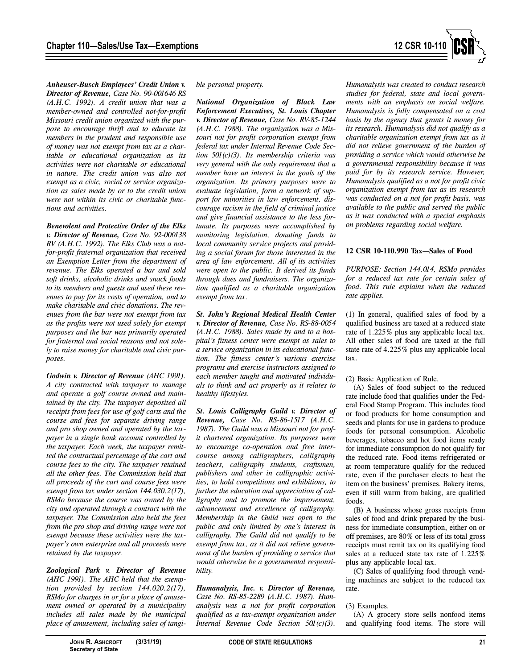

*Anheuser-Busch Employees' Credit Union v. Director of Revenue, Case No. 90-001646 RS (A.H.C. 1992). A credit union that was a member-owned and controlled not-for-profit Missouri credit union organized with the purpose to encourage thrift and to educate its members in the prudent and responsible use of money was not exempt from tax as a charitable or educational organization as its activities were not charitable or educational in nature. The credit union was also not exempt as a civic, social or service organization as sales made by or to the credit union were not within its civic or charitable functions and activities.*

*Benevolent and Protective Order of the Elks v. Director of Revenue, Case No. 92-000138 RV (A.H.C. 1992). The Elks Club was a notfor-profit fraternal organization that received an Exemption Letter from the department of revenue. The Elks operated a bar and sold soft drinks, alcoholic drinks and snack foods to its members and guests and used these revenues to pay for its costs of operation, and to make charitable and civic donations. The revenues from the bar were not exempt from tax as the profits were not used solely for exempt purposes and the bar was primarily operated for fraternal and social reasons and not solely to raise money for charitable and civic purposes.*

*Godwin v. Director of Revenue (AHC 1991). A city contracted with taxpayer to manage and operate a golf course owned and maintained by the city. The taxpayer deposited all receipts from fees for use of golf carts and the course and fees for separate driving range and pro shop owned and operated by the taxpayer in a single bank account controlled by the taxpayer. Each week, the taxpayer remitted the contractual percentage of the cart and course fees to the city. The taxpayer retained all the other fees. The Commission held that all proceeds of the cart and course fees were exempt from tax under section 144.030.2(17), RSMo because the course was owned by the city and operated through a contract with the taxpayer. The Commission also held the fees from the pro shop and driving range were not exempt because these activities were the taxpayer's own enterprise and all proceeds were retained by the taxpayer.*

*Zoological Park v. Director of Revenue (AHC 1991). The AHC held that the exemption provided by section 144.020.2(17), RSMo for charges in or for a place of amusement owned or operated by a municipality includes all sales made by the municipal place of amusement, including sales of tangi-* *ble personal property.*

*National Organization of Black Law Enforcement Executives, St. Louis Chapter v. Director of Revenue, Case No. RV-85-1244 (A.H.C. 1988). The organization was a Missouri not for profit corporation exempt from federal tax under Internal Revenue Code Section 501(c)(3). Its membership criteria was very general with the only requirement that a member have an interest in the goals of the organization. Its primary purposes were to evaluate legislation, form a network of support for minorities in law enforcement, discourage racism in the field of criminal justice and give financial assistance to the less fortunate. Its purposes were accomplished by monitoring legislation, donating funds to local community service projects and providing a social forum for those interested in the area of law enforcement. All of its activities were open to the public. It derived its funds through dues and fundraisers. The organization qualified as a charitable organization exempt from tax.*

*St. John's Regional Medical Health Center v. Director of Revenue, Case No. RS-88-0054 (A.H.C. 1988). Sales made by and to a hospital's fitness center were exempt as sales to a service organization in its educational function. The fitness center's various exercise programs and exercise instructors assigned to each member taught and motivated individuals to think and act properly as it relates to healthy lifestyles.*

*St. Louis Calligraphy Guild v. Director of Revenue, Case No. RS-86-1517 (A.H.C. 1987). The Guild was a Missouri not for profit chartered organization. Its purposes were to encourage co-operation and free intercourse among calligraphers, calligraphy teachers, calligraphy students, craftsmen, publishers and other in calligraphic activities, to hold competitions and exhibitions, to further the education and appreciation of calligraphy and to promote the improvement, advancement and excellence of calligraphy. Membership in the Guild was open to the public and only limited by one's interest in calligraphy. The Guild did not qualify to be exempt from tax, as it did not relieve government of the burden of providing a service that would otherwise be a governmental responsibility.*

*Humanalysis, Inc. v. Director of Revenue, Case No. RS-85-2289 (A.H.C. 1987). Humanalysis was a not for profit corporation qualified as a tax-exempt organization under Internal Revenue Code Section 501(c)(3).*

*Humanalysis was created to conduct research studies for federal, state and local governments with an emphasis on social welfare. Humanalysis is fully compensated on a cost basis by the agency that grants it money for its research. Humanalysis did not qualify as a charitable organization exempt from tax as it did not relieve government of the burden of providing a service which would otherwise be a governmental responsibility because it was paid for by its research service. However, Humanalysis qualified as a not for profit civic organization exempt from tax as its research was conducted on a not for profit basis, was available to the public and served the public as it was conducted with a special emphasis on problems regarding social welfare.*

#### **12 CSR 10-110.990 Tax—Sales of Food**

*PURPOSE: Section 144.014, RSMo provides for a reduced tax rate for certain sales of food. This rule explains when the reduced rate applies.*

(1) In general, qualified sales of food by a qualified business are taxed at a reduced state rate of 1.225% plus any applicable local tax. All other sales of food are taxed at the full state rate of 4.225% plus any applicable local tax.

#### (2) Basic Application of Rule.

(A) Sales of food subject to the reduced rate include food that qualifies under the Federal Food Stamp Program. This includes food or food products for home consumption and seeds and plants for use in gardens to produce foods for personal consumption. Alcoholic beverages, tobacco and hot food items ready for immediate consumption do not qualify for the reduced rate. Food items refrigerated or at room temperature qualify for the reduced rate, even if the purchaser elects to heat the item on the business' premises. Bakery items, even if still warm from baking, are qualified foods.

(B) A business whose gross receipts from sales of food and drink prepared by the business for immediate consumption, either on or off premises, are 80% or less of its total gross receipts must remit tax on its qualifying food sales at a reduced state tax rate of 1.225% plus any applicable local tax.

(C) Sales of qualifying food through vending machines are subject to the reduced tax rate.

#### (3) Examples.

(A) A grocery store sells nonfood items and qualifying food items. The store will